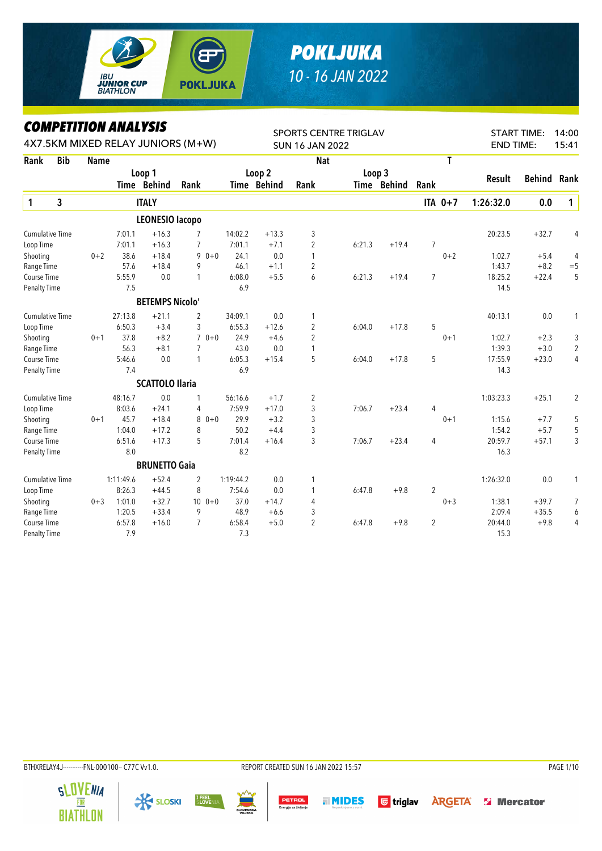

## *POKLJUKA 10 - 16 JAN 2022*

## *COMPETITION ANALYSIS*

|                        | LUMPEIIIIUN ANALYƏIƏ<br>4X7.5KM MIXED RELAY JUNIORS (M+W) |             |           |                        |                |           |                   | <b>SPORTS CENTRE TRIGLAV</b> |        | <b>START TIME:</b><br>14:00 |                |                  |         |                |
|------------------------|-----------------------------------------------------------|-------------|-----------|------------------------|----------------|-----------|-------------------|------------------------------|--------|-----------------------------|----------------|------------------|---------|----------------|
|                        |                                                           |             |           |                        |                |           |                   | <b>SUN 16 JAN 2022</b>       |        |                             |                | <b>END TIME:</b> |         | 15:41          |
| Rank                   | <b>Bib</b>                                                | <b>Name</b> |           |                        |                |           |                   | <b>Nat</b>                   |        |                             | T              |                  |         |                |
|                        |                                                           |             |           | Loop 1                 |                |           | Loop <sub>2</sub> |                              |        | Loop 3                      |                |                  |         | Rank           |
|                        |                                                           |             |           | Time Behind            | Rank           |           | Time Behind       | Rank                         |        | Time Behind                 | Rank           | Result           | Behind  |                |
| $\mathbf{1}$           | 3                                                         |             |           | <b>ITALY</b>           |                |           |                   |                              |        |                             | ITA 0+7        | 1:26:32.0        | 0.0     | $\mathbf{1}$   |
|                        |                                                           |             |           | <b>LEONESIO lacopo</b> |                |           |                   |                              |        |                             |                |                  |         |                |
| <b>Cumulative Time</b> |                                                           |             | 7:01.1    | $+16.3$                | $\overline{7}$ | 14:02.2   | $+13.3$           | 3                            |        |                             |                | 20:23.5          | $+32.7$ | 4              |
| Loop Time              |                                                           |             | 7:01.1    | $+16.3$                | $\overline{7}$ | 7:01.1    | $+7.1$            | $\overline{2}$               | 6:21.3 | $+19.4$                     | $\overline{7}$ |                  |         |                |
| Shooting               |                                                           | $0 + 2$     | 38.6      | $+18.4$                | $90+0$         | 24.1      | 0.0               | 1                            |        |                             | $0 + 2$        | 1:02.7           | $+5.4$  | 4              |
| Range Time             |                                                           |             | 57.6      | $+18.4$                | 9              | 46.1      | $+1.1$            | 2                            |        |                             |                | 1:43.7           | $+8.2$  | $=$ 5          |
| Course Time            |                                                           |             | 5:55.9    | 0.0                    | $\mathbf{1}$   | 6:08.0    | $+5.5$            | 6                            | 6:21.3 | $+19.4$                     | $\overline{7}$ | 18:25.2          | $+22.4$ | 5              |
| <b>Penalty Time</b>    |                                                           |             | 7.5       |                        |                | 6.9       |                   |                              |        |                             |                | 14.5             |         |                |
|                        |                                                           |             |           | <b>BETEMPS Nicolo'</b> |                |           |                   |                              |        |                             |                |                  |         |                |
| <b>Cumulative Time</b> |                                                           |             | 27:13.8   | $+21.1$                | $\overline{2}$ | 34:09.1   | 0.0               | 1                            |        |                             |                | 40:13.1          | 0.0     | 1              |
| Loop Time              |                                                           |             | 6:50.3    | $+3.4$                 | 3              | 6:55.3    | $+12.6$           | $\overline{2}$               | 6:04.0 | $+17.8$                     | 5              |                  |         |                |
| Shooting               |                                                           | $0 + 1$     | 37.8      | $+8.2$                 | $70+0$         | 24.9      | $+4.6$            | $\overline{c}$               |        |                             | $0 + 1$        | 1:02.7           | $+2.3$  | 3              |
| Range Time             |                                                           |             | 56.3      | $+8.1$                 | $\overline{7}$ | 43.0      | 0.0               | 1                            |        |                             |                | 1:39.3           | $+3.0$  | $\overline{2}$ |
| Course Time            |                                                           |             | 5:46.6    | 0.0                    | $\mathbf{1}$   | 6:05.3    | $+15.4$           | 5                            | 6:04.0 | $+17.8$                     | 5              | 17:55.9          | $+23.0$ | 4              |
| <b>Penalty Time</b>    |                                                           |             | 7.4       |                        |                | 6.9       |                   |                              |        |                             |                | 14.3             |         |                |
|                        |                                                           |             |           | <b>SCATTOLO Ilaria</b> |                |           |                   |                              |        |                             |                |                  |         |                |
| <b>Cumulative Time</b> |                                                           |             | 48:16.7   | 0.0                    | 1              | 56:16.6   | $+1.7$            | 2                            |        |                             |                | 1:03:23.3        | $+25.1$ | $\overline{2}$ |
| Loop Time              |                                                           |             | 8:03.6    | $+24.1$                | 4              | 7:59.9    | $+17.0$           | 3                            | 7:06.7 | $+23.4$                     | $\overline{4}$ |                  |         |                |
| Shooting               |                                                           | $0 + 1$     | 45.7      | $+18.4$                | $80+0$         | 29.9      | $+3.2$            | 3                            |        |                             | $0 + 1$        | 1:15.6           | $+7.7$  | 5              |
| Range Time             |                                                           |             | 1:04.0    | $+17.2$                | 8              | 50.2      | $+4.4$            | 3                            |        |                             |                | 1:54.2           | $+5.7$  | 5              |
| Course Time            |                                                           |             | 6:51.6    | $+17.3$                | 5              | 7:01.4    | $+16.4$           | 3                            | 7:06.7 | $+23.4$                     | 4              | 20:59.7          | $+57.1$ | 3              |
| Penalty Time           |                                                           |             | 8.0       |                        |                | 8.2       |                   |                              |        |                             |                | 16.3             |         |                |
|                        |                                                           |             |           | <b>BRUNETTO Gaia</b>   |                |           |                   |                              |        |                             |                |                  |         |                |
| <b>Cumulative Time</b> |                                                           |             | 1:11:49.6 | $+52.4$                | 2              | 1:19:44.2 | 0.0               | 1                            |        |                             |                | 1:26:32.0        | 0.0     | 1              |
| Loop Time              |                                                           |             | 8:26.3    | $+44.5$                | 8              | 7:54.6    | 0.0               | 1                            | 6:47.8 | $+9.8$                      | $\overline{2}$ |                  |         |                |
| Shooting               |                                                           | $0 + 3$     | 1:01.0    | $+32.7$                | $100 + 0$      | 37.0      | $+14.7$           | 4                            |        |                             | $0 + 3$        | 1:38.1           | $+39.7$ | 7              |
| Range Time             |                                                           |             | 1:20.5    | $+33.4$                | 9              | 48.9      | $+6.6$            | 3                            |        |                             |                | 2:09.4           | $+35.5$ | 6              |
| Course Time            |                                                           |             | 6:57.8    | $+16.0$                | $\overline{7}$ | 6:58.4    | $+5.0$            | $\overline{c}$               | 6:47.8 | $+9.8$                      | $\overline{2}$ | 20:44.0          | $+9.8$  | 4              |
| <b>Penalty Time</b>    |                                                           |             | 7.9       |                        |                | 7.3       |                   |                              |        |                             |                | 15.3             |         |                |

**X SLOSKI** 

I FEEL<br>Slovenia

**SLOVENIA** 

 $\overline{\mathbf{R}}$ 

PETROL

**MIDES** 

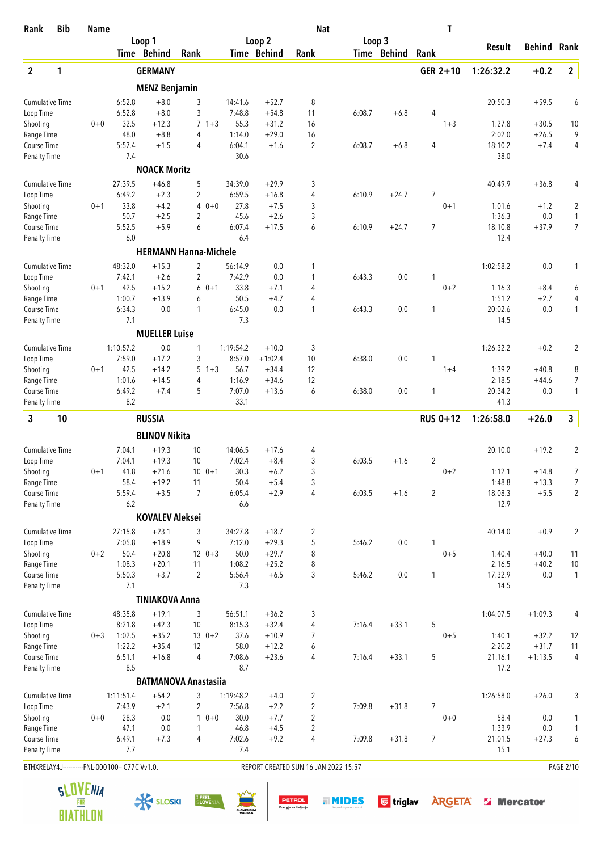| Rank                      | <b>Bib</b> | <b>Name</b>                                    |                     |                        |                              |                     |                      | <b>Nat</b>                           |        |             | T               |                  |                    |                |
|---------------------------|------------|------------------------------------------------|---------------------|------------------------|------------------------------|---------------------|----------------------|--------------------------------------|--------|-------------|-----------------|------------------|--------------------|----------------|
|                           |            |                                                |                     | Loop 1                 |                              |                     | Loop 2               |                                      | Loop 3 |             |                 | Result           | <b>Behind Rank</b> |                |
|                           |            |                                                |                     | Time Behind            | Rank                         |                     | Time Behind          | Rank                                 |        | Time Behind | Rank            |                  |                    |                |
| $\boldsymbol{2}$          | 1          |                                                |                     | <b>GERMANY</b>         |                              |                     |                      |                                      |        |             | GER 2+10        | 1:26:32.2        | $+0.2$             | $\mathbf{2}$   |
|                           |            |                                                |                     | <b>MENZ Benjamin</b>   |                              |                     |                      |                                      |        |             |                 |                  |                    |                |
| <b>Cumulative Time</b>    |            |                                                | 6:52.8              | $+8.0$                 | 3                            | 14:41.6             | $+52.7$              | 8                                    |        |             |                 | 20:50.3          | $+59.5$            | 6              |
| Loop Time                 |            |                                                | 6:52.8              | $+8.0$                 | 3                            | 7:48.8              | $+54.8$              | 11                                   | 6:08.7 | $+6.8$      | 4               |                  |                    |                |
| Shooting                  |            | $0 + 0$                                        | 32.5                | $+12.3$                | $\overline{7}$<br>$1 + 3$    | 55.3                | $+31.2$              | 16                                   |        |             | $1 + 3$         | 1:27.8           | $+30.5$            | 10             |
| Range Time                |            |                                                | 48.0                | $+8.8$                 | 4                            | 1:14.0              | $+29.0$              | 16                                   |        |             |                 | 2:02.0           | $+26.5$            | 9              |
| Course Time               |            |                                                | 5:57.4              | $+1.5$                 | $\overline{4}$               | 6:04.1              | $+1.6$               | 2                                    | 6:08.7 | $+6.8$      | $\overline{4}$  | 18:10.2          | $+7.4$             | 4              |
| <b>Penalty Time</b>       |            |                                                | 7.4                 |                        |                              | 30.6                |                      |                                      |        |             |                 | 38.0             |                    |                |
|                           |            |                                                |                     | <b>NOACK Moritz</b>    |                              |                     |                      |                                      |        |             |                 |                  |                    |                |
| <b>Cumulative Time</b>    |            |                                                | 27:39.5             | $+46.8$                | 5                            | 34:39.0             | $+29.9$              | 3                                    |        |             |                 | 40:49.9          | $+36.8$            | 4              |
| Loop Time                 |            |                                                | 6:49.2              | $+2.3$                 | $\overline{2}$               | 6:59.5              | $+16.8$              | 4                                    | 6:10.9 | $+24.7$     | $\overline{7}$  |                  |                    |                |
| Shooting                  |            | $0 + 1$                                        | 33.8                | $+4.2$                 | $\overline{4}$<br>$0 + 0$    | 27.8                | $+7.5$               | 3                                    |        |             | $0 + 1$         | 1:01.6           | $+1.2$             | 2              |
| Range Time                |            |                                                | 50.7                | $+2.5$                 | 2                            | 45.6                | $+2.6$               | 3                                    |        |             |                 | 1:36.3           | $0.0\,$            | $\mathbf{1}$   |
| Course Time               |            |                                                | 5:52.5<br>6.0       | $+5.9$                 | 6                            | 6:07.4<br>6.4       | $+17.5$              | 6                                    | 6:10.9 | $+24.7$     | $\overline{7}$  | 18:10.8<br>12.4  | $+37.9$            | $\overline{7}$ |
| <b>Penalty Time</b>       |            |                                                |                     |                        |                              |                     |                      |                                      |        |             |                 |                  |                    |                |
|                           |            |                                                |                     |                        | <b>HERMANN Hanna-Michele</b> |                     |                      |                                      |        |             |                 |                  |                    |                |
| <b>Cumulative Time</b>    |            |                                                | 48:32.0             | $+15.3$                | $\overline{2}$               | 56:14.9             | 0.0                  | 1                                    |        |             |                 | 1:02:58.2        | $0.0\,$            | 1              |
| Loop Time                 |            |                                                | 7:42.1              | $+2.6$                 | $\overline{2}$               | 7:42.9              | $0.0\,$              | 1                                    | 6:43.3 | 0.0         | $\mathbf{1}$    |                  |                    |                |
| Shooting                  |            | $0 + 1$                                        | 42.5<br>1:00.7      | $+15.2$<br>$+13.9$     | $60+1$                       | 33.8<br>50.5        | $+7.1$               | 4<br>4                               |        |             | $0 + 2$         | 1:16.3<br>1:51.2 | $+8.4$             | 6              |
| Range Time<br>Course Time |            |                                                | 6:34.3              | 0.0                    | 6<br>1                       | 6:45.0              | $+4.7$<br>0.0        | 1                                    | 6:43.3 | 0.0         | 1               | 20:02.6          | $+2.7$<br>0.0      | 4<br>1         |
| <b>Penalty Time</b>       |            |                                                | 7.1                 |                        |                              | 7.3                 |                      |                                      |        |             |                 | 14.5             |                    |                |
|                           |            |                                                |                     | <b>MUELLER Luise</b>   |                              |                     |                      |                                      |        |             |                 |                  |                    |                |
|                           |            |                                                |                     |                        |                              |                     |                      |                                      |        |             |                 |                  |                    |                |
| <b>Cumulative Time</b>    |            |                                                | 1:10:57.2<br>7:59.0 | 0.0<br>$+17.2$         | 1<br>3                       | 1:19:54.2<br>8:57.0 | $+10.0$<br>$+1:02.4$ | 3<br>10                              | 6:38.0 | $0.0\,$     | 1               | 1:26:32.2        | $+0.2$             | $\overline{2}$ |
| Loop Time<br>Shooting     |            | $0 + 1$                                        | 42.5                | $+14.2$                | 5<br>$1 + 3$                 | 56.7                | $+34.4$              | 12                                   |        |             | $1+4$           | 1:39.2           | $+40.8$            | 8              |
| Range Time                |            |                                                | 1:01.6              | $+14.5$                | 4                            | 1:16.9              | $+34.6$              | 12                                   |        |             |                 | 2:18.5           | $+44.6$            | 7              |
| Course Time               |            |                                                | 6:49.2              | $+7.4$                 | 5                            | 7:07.0              | $+13.6$              | 6                                    | 6:38.0 | 0.0         | 1               | 20:34.2          | 0.0                | 1              |
| <b>Penalty Time</b>       |            |                                                | 8.2                 |                        |                              | 33.1                |                      |                                      |        |             |                 | 41.3             |                    |                |
| 3                         | 10         |                                                |                     | <b>RUSSIA</b>          |                              |                     |                      |                                      |        |             | <b>RUS 0+12</b> | 1:26:58.0        | $+26.0$            | 3              |
|                           |            |                                                |                     | <b>BLINOV Nikita</b>   |                              |                     |                      |                                      |        |             |                 |                  |                    |                |
| <b>Cumulative Time</b>    |            |                                                | 7:04.1              | $+19.3$                | 10                           | 14:06.5             | $+17.6$              | 4                                    |        |             |                 | 20:10.0          | $+19.2$            | 2              |
| Loop Time                 |            |                                                | 7:04.1              | $+19.3$                | 10                           | 7:02.4              | $+8.4$               | 3                                    | 6:03.5 | $+1.6$      | $\overline{2}$  |                  |                    |                |
| Shooting                  |            | 0+1                                            | 41.8                | $+21.6$                | $10 \t 0+1$                  | 30.3                | $+6.2$               | 3                                    |        |             | $0 + 2$         | 1:12.1           | $+14.8$            | 7              |
| Range Time                |            |                                                | 58.4                | $+19.2$                | 11                           | 50.4                | $+5.4$               | 3                                    |        |             |                 | 1:48.8           | $+13.3$            | 7              |
| Course Time               |            |                                                | 5:59.4              | $+3.5$                 | $\overline{7}$               | 6:05.4              | $+2.9$               | 4                                    | 6:03.5 | $+1.6$      | $\overline{2}$  | 18:08.3          | $+5.5$             | $\overline{2}$ |
| <b>Penalty Time</b>       |            |                                                | 6.2                 |                        |                              | 6.6                 |                      |                                      |        |             |                 | 12.9             |                    |                |
|                           |            |                                                |                     | <b>KOVALEV Aleksei</b> |                              |                     |                      |                                      |        |             |                 |                  |                    |                |
| <b>Cumulative Time</b>    |            |                                                | 27:15.8             | $+23.1$                | 3                            | 34:27.8             | $+18.7$              | 2                                    |        |             |                 | 40:14.0          | $+0.9$             | $\overline{c}$ |
| Loop Time                 |            |                                                | 7:05.8              | $+18.9$                | 9                            | 7:12.0              | $+29.3$              | 5                                    | 5:46.2 | 0.0         | 1               |                  |                    |                |
| Shooting                  |            | $0 + 2$                                        | 50.4                | $+20.8$                | $12 \t 0+3$                  | 50.0                | $+29.7$              | 8                                    |        |             | $0 + 5$         | 1:40.4           | $+40.0$            | 11             |
| Range Time                |            |                                                | 1:08.3              | $+20.1$                | 11                           | 1:08.2              | $+25.2$              | 8                                    |        |             |                 | 2:16.5           | $+40.2$            | $10$           |
| Course Time               |            |                                                | 5:50.3              | $+3.7$                 | $\overline{2}$               | 5:56.4              | $+6.5$               | 3                                    | 5:46.2 | 0.0         | $\mathbf{1}$    | 17:32.9          | $0.0\,$            | $\mathbf{1}$   |
| <b>Penalty Time</b>       |            |                                                | 7.1                 |                        |                              | 7.3                 |                      |                                      |        |             |                 | 14.5             |                    |                |
|                           |            |                                                |                     | <b>TINIAKOVA Anna</b>  |                              |                     |                      |                                      |        |             |                 |                  |                    |                |
| <b>Cumulative Time</b>    |            |                                                | 48:35.8             | $+19.1$                | 3                            | 56:51.1             | $+36.2$              | 3                                    |        |             |                 | 1:04:07.5        | $+1:09.3$          | 4              |
| Loop Time                 |            |                                                | 8:21.8              | $+42.3$                | 10                           | 8:15.3              | $+32.4$              | 4                                    | 7:16.4 | $+33.1$     | 5               |                  |                    |                |
| Shooting                  |            | $0 + 3$                                        | 1:02.5              | $+35.2$                | $13 \t 0+2$                  | 37.6                | $+10.9$              | 7                                    |        |             | $0 + 5$         | 1:40.1           | $+32.2$            | 12             |
| Range Time                |            |                                                | 1:22.2              | $+35.4$                | 12                           | 58.0                | $+12.2$              | 6                                    |        |             |                 | 2:20.2           | $+31.7$            | 11             |
| Course Time               |            |                                                | 6:51.1              | $+16.8$                | 4                            | 7:08.6              | $+23.6$              | 4                                    | 7:16.4 | $+33.1$     | 5               | 21:16.1          | $+1:13.5$          | $\overline{4}$ |
| <b>Penalty Time</b>       |            |                                                | 8.5                 |                        |                              | 8.7                 |                      |                                      |        |             |                 | 17.2             |                    |                |
|                           |            |                                                |                     |                        | <b>BATMANOVA Anastasiia</b>  |                     |                      |                                      |        |             |                 |                  |                    |                |
| <b>Cumulative Time</b>    |            |                                                | 1:11:51.4           | $+54.2$                | 3                            | 1:19:48.2           | $+4.0$               | 2                                    |        |             |                 | 1:26:58.0        | $+26.0$            | 3              |
| Loop Time                 |            |                                                | 7:43.9              | $+2.1$                 | $\overline{2}$               | 7:56.8              | $+2.2$               | $\overline{2}$                       | 7:09.8 | $+31.8$     | 7               |                  |                    |                |
| Shooting                  |            | $0 + 0$                                        | 28.3                | 0.0                    | $10+0$                       | 30.0                | $+7.7$               | $\overline{2}$                       |        |             | $0+0$           | 58.4             | 0.0                | 1              |
| Range Time                |            |                                                | 47.1                | 0.0                    | 1                            | 46.8                | $+4.5$               | 2                                    |        |             |                 | 1:33.9           | $0.0\,$            | $\mathbf{1}$   |
| Course Time               |            |                                                | 6:49.1<br>7.7       | $+7.3$                 | 4                            | 7:02.6              | $+9.2$               | 4                                    | 7:09.8 | $+31.8$     | 7               | 21:01.5          | $+27.3$            | 6              |
| <b>Penalty Time</b>       |            |                                                |                     |                        |                              | 7.4                 |                      |                                      |        |             |                 | 15.1             |                    |                |
|                           |            | BTHXRELAY4J-----------FNL-000100-- C77C Vv1.0. |                     |                        |                              |                     |                      | REPORT CREATED SUN 16 JAN 2022 15:57 |        |             |                 |                  |                    | PAGE 2/10      |

**TIMIDES** Gtriglav **ARGETA** & Mercator

**BIATHLON** 



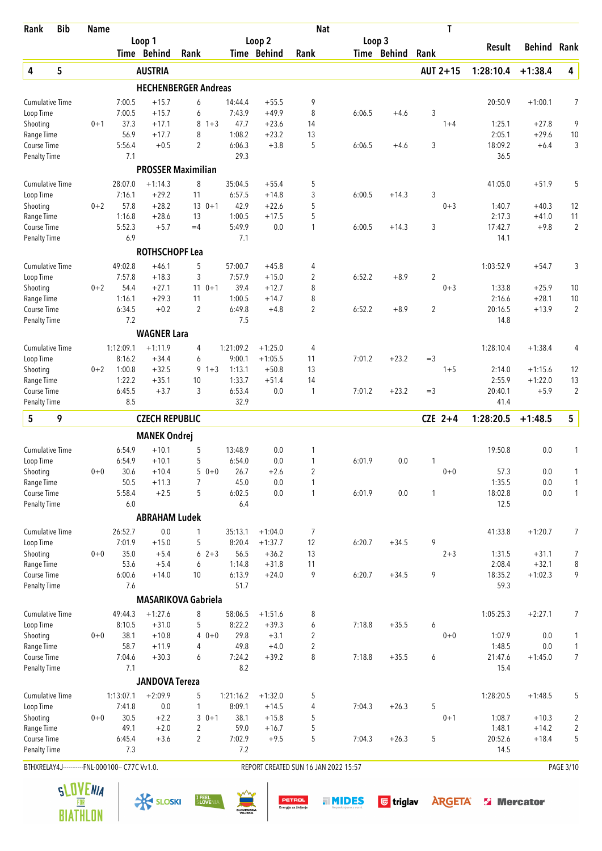| <b>Bib</b><br>Rank                             |   | <b>Name</b> |                     |                             |                     |         |                     |                        | <b>Nat</b>                           |        |             | T              |                   |                   |                |
|------------------------------------------------|---|-------------|---------------------|-----------------------------|---------------------|---------|---------------------|------------------------|--------------------------------------|--------|-------------|----------------|-------------------|-------------------|----------------|
|                                                |   |             |                     | Loop 1                      |                     |         |                     | Loop 2                 |                                      |        | Loop 3      |                | <b>Result</b>     | Behind            | Rank           |
|                                                |   |             |                     | Time Behind                 | Rank                |         |                     | Time Behind            | Rank                                 |        | Time Behind | Rank           |                   |                   |                |
| 4                                              | 5 |             |                     | <b>AUSTRIA</b>              |                     |         |                     |                        |                                      |        |             | AUT 2+15       | 1:28:10.4         | $+1:38.4$         | 4              |
|                                                |   |             |                     | <b>HECHENBERGER Andreas</b> |                     |         |                     |                        |                                      |        |             |                |                   |                   |                |
| <b>Cumulative Time</b>                         |   |             | 7:00.5              | $+15.7$                     | 6                   |         | 14:44.4             | $+55.5$                | 9                                    |        |             |                | 20:50.9           | $+1:00.1$         | 7              |
| Loop Time                                      |   |             | 7:00.5              | $+15.7$                     | 6                   |         | 7:43.9              | $+49.9$                | 8                                    | 6:06.5 | $+4.6$      | 3              |                   |                   |                |
| Shooting                                       |   | $0 + 1$     | 37.3                | $+17.1$                     | 8                   | $1 + 3$ | 47.7                | $+23.6$                | 14                                   |        |             | $1 + 4$        | 1:25.1            | $+27.8$           | 9              |
| Range Time<br>Course Time                      |   |             | 56.9<br>5:56.4      | $+17.7$<br>$+0.5$           | 8<br>$\overline{c}$ |         | 1:08.2<br>6:06.3    | $+23.2$<br>$+3.8$      | 13<br>5                              | 6:06.5 | $+4.6$      | 3              | 2:05.1<br>18:09.2 | $+29.6$<br>$+6.4$ | $10$<br>3      |
| Penalty Time                                   |   |             | 7.1                 |                             |                     |         | 29.3                |                        |                                      |        |             |                | 36.5              |                   |                |
|                                                |   |             |                     | <b>PROSSER Maximilian</b>   |                     |         |                     |                        |                                      |        |             |                |                   |                   |                |
| <b>Cumulative Time</b>                         |   |             | 28:07.0             | $+1:14.3$                   | 8                   |         | 35:04.5             | $+55.4$                | 5                                    |        |             |                | 41:05.0           | $+51.9$           | 5              |
| Loop Time                                      |   |             | 7:16.1              | $+29.2$                     | 11                  |         | 6:57.5              | $+14.8$                | 3                                    | 6:00.5 | $+14.3$     | 3              |                   |                   |                |
| Shooting                                       |   | $0 + 2$     | 57.8                | $+28.2$                     | $13 \t 0+1$         |         | 42.9                | $+22.6$                | 5                                    |        |             | $0 + 3$        | 1:40.7            | $+40.3$           | 12             |
| Range Time                                     |   |             | 1:16.8              | $+28.6$                     | 13                  |         | 1:00.5              | $+17.5$                | 5                                    |        |             |                | 2:17.3            | $+41.0$           | 11             |
| Course Time                                    |   |             | 5:52.3              | $+5.7$                      | $=4$                |         | 5:49.9              | 0.0                    | 1                                    | 6:00.5 | $+14.3$     | 3              | 17:42.7           | $+9.8$            | $\overline{2}$ |
| <b>Penalty Time</b>                            |   |             | 6.9                 |                             |                     |         | 7.1                 |                        |                                      |        |             |                | 14.1              |                   |                |
|                                                |   |             |                     | <b>ROTHSCHOPF Lea</b>       |                     |         |                     |                        |                                      |        |             |                |                   |                   |                |
| <b>Cumulative Time</b>                         |   |             | 49:02.8             | $+46.1$                     | 5                   |         | 57:00.7             | $+45.8$                | 4                                    |        |             |                | 1:03:52.9         | $+54.7$           | 3              |
| Loop Time                                      |   |             | 7:57.8              | $+18.3$                     | 3                   |         | 7:57.9              | $+15.0$                | $\overline{c}$                       | 6:52.2 | $+8.9$      | $\overline{2}$ |                   |                   |                |
| Shooting                                       |   | $0 + 2$     | 54.4                | $+27.1$                     | $110+1$             |         | 39.4                | $+12.7$                | 8                                    |        |             | $0 + 3$        | 1:33.8            | $+25.9$           | 10             |
| Range Time                                     |   |             | 1:16.1              | $+29.3$                     | 11                  |         | 1:00.5              | $+14.7$                | 8                                    |        |             |                | 2:16.6            | $+28.1$           | 10             |
| Course Time<br><b>Penalty Time</b>             |   |             | 6:34.5<br>7.2       | $+0.2$                      | $\overline{2}$      |         | 6:49.8<br>7.5       | $+4.8$                 | 2                                    | 6:52.2 | $+8.9$      | $\overline{2}$ | 20:16.5<br>14.8   | $+13.9$           | $\overline{2}$ |
|                                                |   |             |                     | <b>WAGNER Lara</b>          |                     |         |                     |                        |                                      |        |             |                |                   |                   |                |
| <b>Cumulative Time</b>                         |   |             | 1:12:09.1           | $+1:11.9$                   | 4                   |         | 1:21:09.2           | $+1:25.0$              | 4                                    |        |             |                | 1:28:10.4         | $+1:38.4$         | 4              |
| Loop Time                                      |   |             | 8:16.2              | $+34.4$                     | 6                   |         | 9:00.1              | $+1:05.5$              | 11                                   | 7:01.2 | $+23.2$     | $=$ 3          |                   |                   |                |
| Shooting                                       |   | $0 + 2$     | 1:00.8              | $+32.5$                     | 9                   | $1 + 3$ | 1:13.1              | $+50.8$                | 13                                   |        |             | $1 + 5$        | 2:14.0            | $+1:15.6$         | 12             |
| Range Time                                     |   |             | 1:22.2              | $+35.1$                     | 10                  |         | 1:33.7              | $+51.4$                | 14                                   |        |             |                | 2:55.9            | $+1:22.0$         | 13             |
| Course Time                                    |   |             | 6:45.5              | $+3.7$                      | 3                   |         | 6:53.4              | 0.0                    | $\mathbf{1}$                         | 7:01.2 | $+23.2$     | $=$ 3          | 20:40.1           | $+5.9$            | $\overline{2}$ |
| <b>Penalty Time</b>                            |   |             | 8.5                 |                             |                     |         | 32.9                |                        |                                      |        |             |                | 41.4              |                   |                |
| 5                                              | 9 |             |                     | <b>CZECH REPUBLIC</b>       |                     |         |                     |                        |                                      |        |             | $CZE$ 2+4      | 1:28:20.5         | $+1:48.5$         | 5              |
|                                                |   |             |                     | <b>MANEK Ondrej</b>         |                     |         |                     |                        |                                      |        |             |                |                   |                   |                |
| <b>Cumulative Time</b>                         |   |             | 6:54.9              | $+10.1$                     | 5                   |         | 13:48.9             | 0.0                    | 1                                    |        |             |                | 19:50.8           | 0.0               | 1              |
| Loop Time                                      |   |             | 6:54.9              | $+10.1$                     | 5                   |         | 6:54.0              | 0.0                    | 1                                    | 6:01.9 | 0.0         | 1              |                   |                   |                |
| Shooting                                       |   | $0 + 0$     | 30.6                | $+10.4$                     | $50+0$              |         | 26.7                | $+2.6$                 | 2                                    |        |             | $0 + 0$        | 57.3              | 0.0               | 1              |
| Range Time                                     |   |             | 50.5                | $+11.3$                     | 7                   |         | 45.0                | $0.0\,$                | 1                                    |        |             |                | 1:35.5            | $0.0\,$           | 1              |
| Course Time                                    |   |             | 5:58.4              | $+2.5$                      | 5                   |         | 6:02.5              | $0.0\,$                | $\mathbf{1}$                         | 6:01.9 | $0.0\,$     | 1              | 18:02.8           | $0.0\,$           | 1              |
| <b>Penalty Time</b>                            |   |             | 6.0                 |                             |                     |         | 6.4                 |                        |                                      |        |             |                | 12.5              |                   |                |
|                                                |   |             |                     | <b>ABRAHAM Ludek</b>        |                     |         |                     |                        |                                      |        |             |                |                   |                   |                |
| <b>Cumulative Time</b>                         |   |             | 26:52.7<br>7:01.9   | $0.0\,$<br>$+15.0$          | 1<br>5              |         | 35:13.1<br>8:20.4   | $+1:04.0$<br>$+1:37.7$ | 7<br>12                              | 6:20.7 | $+34.5$     | 9              | 41:33.8           | $+1:20.7$         | 7              |
| Loop Time<br>Shooting                          |   | $0 + 0$     | 35.0                | $+5.4$                      | $62+3$              |         | 56.5                | $+36.2$                | 13                                   |        |             | $2 + 3$        | 1:31.5            | $+31.1$           | 7              |
| Range Time                                     |   |             | 53.6                | $+5.4$                      | 6                   |         | 1:14.8              | $+31.8$                | 11                                   |        |             |                | 2:08.4            | $+32.1$           | 8              |
| Course Time                                    |   |             | 6:00.6              | $+14.0$                     | 10                  |         | 6:13.9              | $+24.0$                | 9                                    | 6:20.7 | $+34.5$     | 9              | 18:35.2           | $+1:02.3$         | 9              |
| <b>Penalty Time</b>                            |   |             | 7.6                 |                             |                     |         | 51.7                |                        |                                      |        |             |                | 59.3              |                   |                |
|                                                |   |             |                     | <b>MASARIKOVA Gabriela</b>  |                     |         |                     |                        |                                      |        |             |                |                   |                   |                |
| <b>Cumulative Time</b>                         |   |             | 49:44.3             | $+1:27.6$                   | 8                   |         | 58:06.5             | $+1:51.6$              | 8                                    |        |             |                | 1:05:25.3         | $+2:27.1$         | 7              |
| Loop Time                                      |   |             | 8:10.5              | $+31.0$                     | 5                   |         | 8:22.2              | $+39.3$                | 6                                    | 7:18.8 | $+35.5$     | 6              |                   |                   |                |
| Shooting                                       |   | $0 + 0$     | 38.1                | $+10.8$                     | 4                   | $0+0$   | 29.8                | $+3.1$                 | 2                                    |        |             | $0 + 0$        | 1:07.9            | 0.0               | 1              |
| Range Time                                     |   |             | 58.7                | $+11.9$                     | 4                   |         | 49.8                | $+4.0$                 | $\overline{2}$                       |        |             |                | 1:48.5            | 0.0               | 1              |
| Course Time                                    |   |             | 7:04.6              | $+30.3$                     | 6                   |         | 7:24.2              | $+39.2$                | 8                                    | 7:18.8 | $+35.5$     | 6              | 21:47.6           | $+1:45.0$         | $\overline{7}$ |
| <b>Penalty Time</b>                            |   |             | 7.1                 |                             |                     |         | 8.2                 |                        |                                      |        |             |                | 15.4              |                   |                |
|                                                |   |             |                     | <b>JANDOVA Tereza</b>       |                     |         |                     |                        |                                      |        |             |                |                   |                   |                |
| <b>Cumulative Time</b>                         |   |             | 1:13:07.1<br>7:41.8 | $+2:09.9$<br>$0.0\,$        | 5<br>1              |         | 1:21:16.2<br>8:09.1 | $+1:32.0$<br>$+14.5$   | 5<br>4                               | 7:04.3 | $+26.3$     | 5              | 1:28:20.5         | $+1:48.5$         | 5              |
| Loop Time<br>Shooting                          |   | $0+0$       | 30.5                | $+2.2$                      | $30+1$              |         | 38.1                | $+15.8$                | 5                                    |        |             | $0 + 1$        | 1:08.7            | $+10.3$           | $\overline{c}$ |
| Range Time                                     |   |             | 49.1                | $+2.0$                      | $\overline{2}$      |         | 59.0                | $+16.7$                | 5                                    |        |             |                | 1:48.1            | $+14.2$           | $\overline{2}$ |
| Course Time                                    |   |             | 6:45.4              | $+3.6$                      | $\overline{c}$      |         | 7:02.9              | $+9.5$                 | 5                                    | 7:04.3 | $+26.3$     | 5              | 20:52.6           | $+18.4$           | 5              |
| <b>Penalty Time</b>                            |   |             | 7.3                 |                             |                     |         | 7.2                 |                        |                                      |        |             |                | 14.5              |                   |                |
| BTHXRELAY4J-----------FNL-000100-- C77C Vv1.0. |   |             |                     |                             |                     |         |                     |                        | REPORT CREATED SUN 16 JAN 2022 15:57 |        |             |                |                   |                   | PAGE 3/10      |

 $\frac{1}{\sqrt{2}}$  SLOSKI SLOSKI SLOVENIA SUN DETROL SUNDES G triglav ARGETA SI Mercator



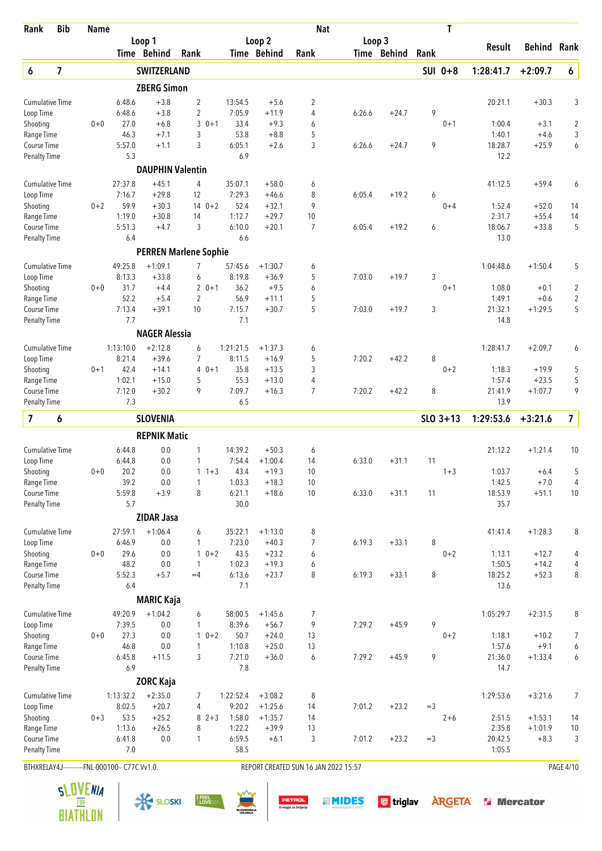| Rank                               | <b>Bib</b>              | <b>Name</b>                                    |               |                         |                              |                |                  | <b>Nat</b>                           |        |             |       | Τ          |                   |                  |                     |
|------------------------------------|-------------------------|------------------------------------------------|---------------|-------------------------|------------------------------|----------------|------------------|--------------------------------------|--------|-------------|-------|------------|-------------------|------------------|---------------------|
|                                    |                         |                                                |               | Loop 1                  |                              |                | Loop 2           |                                      | Loop 3 |             |       |            | Result            | Behind           | Rank                |
|                                    |                         |                                                |               | Time Behind             | Rank                         |                | Time Behind      | Rank                                 |        | Time Behind | Rank  |            |                   |                  |                     |
| 6                                  | $\overline{\mathbf{z}}$ |                                                |               | <b>SWITZERLAND</b>      |                              |                |                  |                                      |        |             |       | SUI 0+8    | 1:28:41.7         | $+2:09.7$        | 6                   |
|                                    |                         |                                                |               | <b>ZBERG Simon</b>      |                              |                |                  |                                      |        |             |       |            |                   |                  |                     |
| <b>Cumulative Time</b>             |                         |                                                | 6:48.6        | $+3.8$                  | $\overline{2}$               | 13:54.5        | $+5.6$           | 2                                    |        |             |       |            | 20:21.1           | $+30.3$          | 3                   |
| Loop Time                          |                         |                                                | 6:48.6        | $+3.8$                  | $\overline{2}$               | 7:05.9         | $+11.9$          | 4                                    | 6:26.6 | $+24.7$     | 9     |            |                   |                  |                     |
| Shooting                           |                         | $0 + 0$                                        | 27.0<br>46.3  | $+6.8$<br>$+7.1$        | 3<br>$0 + 1$<br>3            | 33.4<br>53.8   | $+9.3$<br>$+8.8$ | 6<br>5                               |        |             |       | $0 + 1$    | 1:00.4<br>1:40.1  | $+3.1$<br>$+4.6$ | $\overline{2}$<br>3 |
| Range Time<br>Course Time          |                         |                                                | 5:57.0        | $+1.1$                  | 3                            | 6:05.1         | $+2.6$           | 3                                    | 6:26.6 | $+24.7$     | 9     |            | 18:28.7           | $+25.9$          | 6                   |
| <b>Penalty Time</b>                |                         |                                                | 5.3           |                         |                              | 6.9            |                  |                                      |        |             |       |            | 12.2              |                  |                     |
|                                    |                         |                                                |               | <b>DAUPHIN Valentin</b> |                              |                |                  |                                      |        |             |       |            |                   |                  |                     |
| <b>Cumulative Time</b>             |                         |                                                | 27:37.8       | $+45.1$                 | 4                            | 35:07.1        | $+58.0$          | 6                                    |        |             |       |            | 41:12.5           | $+59.4$          | 6                   |
| Loop Time                          |                         |                                                | 7:16.7        | $+29.8$                 | 12                           | 7:29.3         | $+46.6$          | 8                                    | 6:05.4 | $+19.2$     | 6     |            |                   |                  |                     |
| Shooting                           |                         | $0 + 2$                                        | 59.9          | $+30.3$                 | $140+2$                      | 52.4           | $+32.1$          | 9                                    |        |             |       | $0 + 4$    | 1:52.4            | $+52.0$          | 14                  |
| Range Time                         |                         |                                                | 1:19.0        | $+30.8$                 | 14                           | 1:12.7         | $+29.7$          | 10                                   |        |             |       |            | 2:31.7            | $+55.4$          | 14                  |
| Course Time                        |                         |                                                | 5:51.3        | $+4.7$                  | 3                            | 6:10.0         | $+20.1$          | $\overline{7}$                       | 6:05.4 | $+19.2$     | 6     |            | 18:06.7           | $+33.8$          | 5                   |
| <b>Penalty Time</b>                |                         |                                                | 6.4           |                         |                              | 6.6            |                  |                                      |        |             |       |            | 13.0              |                  |                     |
|                                    |                         |                                                |               |                         | <b>PERREN Marlene Sophie</b> |                |                  |                                      |        |             |       |            |                   |                  |                     |
| <b>Cumulative Time</b>             |                         |                                                | 49:25.8       | $+1:09.1$               | 7                            | 57:45.6        | $+1:30.7$        | 6                                    |        |             |       |            | 1:04:48.6         | $+1:50.4$        | 5                   |
| Loop Time                          |                         |                                                | 8:13.3        | $+33.8$                 | 6                            | 8:19.8         | $+36.9$          | 5                                    | 7:03.0 | $+19.7$     | 3     |            |                   |                  |                     |
| Shooting                           |                         | $0 + 0$                                        | 31.7          | $+4.4$                  | $20+1$                       | 36.2           | $+9.5$           | 6                                    |        |             |       | $0 + 1$    | 1:08.0            | $+0.1$           | 2                   |
| Range Time                         |                         |                                                | 52.2          | $+5.4$                  | $\overline{2}$               | 56.9           | $+11.1$          | 5                                    |        |             |       |            | 1:49.1            | $+0.6$           | $\overline{2}$      |
| Course Time<br><b>Penalty Time</b> |                         |                                                | 7:13.4<br>7.7 | $+39.1$                 | 10                           | 7:15.7<br>7.1  | $+30.7$          | 5                                    | 7:03.0 | $+19.7$     | 3     |            | 21:32.1<br>14.8   | $+1:29.5$        | 5                   |
|                                    |                         |                                                |               | <b>NAGER Alessia</b>    |                              |                |                  |                                      |        |             |       |            |                   |                  |                     |
| <b>Cumulative Time</b>             |                         |                                                | 1:13:10.0     | $+2:12.8$               | 6                            | 1:21:21.5      | $+1:37.3$        | 6                                    |        |             |       |            | 1:28:41.7         | $+2:09.7$        | 6                   |
| Loop Time                          |                         |                                                | 8:21.4        | $+39.6$                 | $\overline{7}$               | 8:11.5         | $+16.9$          | 5                                    | 7:20.2 | $+42.2$     | 8     |            |                   |                  |                     |
| Shooting                           |                         | $0 + 1$                                        | 42.4          | $+14.1$                 | 4<br>$0 + 1$                 | 35.8           | $+13.5$          | 3                                    |        |             |       | $0 + 2$    | 1:18.3            | $+19.9$          | 5                   |
| Range Time                         |                         |                                                | 1:02.1        | $+15.0$                 | 5                            | 55.3           | $+13.0$          | 4                                    |        |             |       |            | 1:57.4            | $+23.5$          | 5                   |
| Course Time                        |                         |                                                | 7:12.0        | $+30.2$                 | 9                            | 7:09.7         | $+16.3$          | $\overline{7}$                       | 7:20.2 | $+42.2$     | 8     |            | 21:41.9           | $+1:07.7$        | 9                   |
| <b>Penalty Time</b>                |                         |                                                | 7.3           |                         |                              | 6.5            |                  |                                      |        |             |       |            | 13.9              |                  |                     |
| $\overline{\mathbf{z}}$            | 6                       |                                                |               | <b>SLOVENIA</b>         |                              |                |                  |                                      |        |             |       | $SLO$ 3+13 | 1:29:53.6         | $+3:21.6$        | $\overline{7}$      |
|                                    |                         |                                                |               | <b>REPNIK Matic</b>     |                              |                |                  |                                      |        |             |       |            |                   |                  |                     |
| <b>Cumulative Time</b>             |                         |                                                | 6:44.8        | 0.0                     | 1                            | 14:39.2        | $+50.3$          | 6                                    |        |             |       |            | 21:12.2           | $+1:21.4$        | 10                  |
| Loop Time                          |                         |                                                | 6:44.8        | 0.0                     | 1                            | 7:54.4         | $+1:00.4$        | 14                                   | 6:33.0 | $+31.1$     | 11    |            |                   |                  |                     |
| Shooting                           |                         | $0 + 0$                                        | 20.2          | 0.0                     | $11+3$                       | 43.4           | $+19.3$          | 10                                   |        |             |       | $1 + 3$    | 1:03.7            | $+6.4$           | 5                   |
| Range Time                         |                         |                                                | 39.2          | 0.0                     | 1                            | 1:03.3         | $+18.3$          | 10                                   |        |             |       |            | 1:42.5            | $+7.0$           | 4                   |
| Course Time                        |                         |                                                | 5:59.8        | $+3.9$                  | 8                            | 6:21.1         | $+18.6$          | 10                                   | 6:33.0 | $+31.1$     | 11    |            | 18:53.9           | $+51.1$          | 10                  |
| <b>Penalty Time</b>                |                         |                                                | 5.7           |                         |                              | 30.0           |                  |                                      |        |             |       |            | 35.7              |                  |                     |
|                                    |                         |                                                |               | <b>ZIDAR Jasa</b>       |                              |                |                  |                                      |        |             |       |            |                   |                  |                     |
| <b>Cumulative Time</b>             |                         |                                                | 27:59.1       | $+1:06.4$               | 6                            | 35:22.1        | $+1:13.0$        | 8                                    |        |             |       |            | 41:41.4           | $+1:28.3$        | 8                   |
| Loop Time                          |                         |                                                | 6:46.9        | 0.0                     | 1                            | 7:23.0         | $+40.3$          | 7                                    | 6:19.3 | $+33.1$     | 8     |            |                   |                  |                     |
| Shooting                           |                         | $0 + 0$                                        | 29.6          | 0.0                     | $10+2$                       | 43.5           | $+23.2$          | 6                                    |        |             |       | $0 + 2$    | 1:13.1            | $+12.7$          | 4                   |
| Range Time                         |                         |                                                | 48.2          | 0.0<br>$+5.7$           | $\mathbf{1}$                 | 1:02.3         | $+19.3$          | 6<br>8                               |        |             | 8     |            | 1:50.5            | $+14.2$          | 4                   |
| Course Time<br><b>Penalty Time</b> |                         |                                                | 5:52.3<br>6.4 |                         | $=4$                         | 6:13.6<br>7.1  | $+23.7$          |                                      | 6:19.3 | $+33.1$     |       |            | 18:25.2<br>13.6   | $+52.3$          | 8                   |
|                                    |                         |                                                |               | <b>MARIC Kaja</b>       |                              |                |                  |                                      |        |             |       |            |                   |                  |                     |
| <b>Cumulative Time</b>             |                         |                                                | 49:20.9       | $+1:04.2$               | 6                            | 58:00.5        | $+1:45.6$        | 7                                    |        |             |       |            | 1:05:29.7         | $+2:31.5$        | 8                   |
| Loop Time                          |                         |                                                | 7:39.5        | 0.0                     | 1                            | 8:39.6         | $+56.7$          | 9                                    | 7:29.2 | $+45.9$     | 9     |            |                   |                  |                     |
| Shooting                           |                         | $0 + 0$                                        | 27.3          | 0.0                     | $1 \t 0+2$                   | 50.7           | $+24.0$          | 13                                   |        |             |       | $0 + 2$    | 1:18.1            | $+10.2$          | 7                   |
| Range Time                         |                         |                                                | 46.8          | 0.0                     | 1                            | 1:10.8         | $+25.0$          | 13                                   |        |             |       |            | 1:57.6            | $+9.1$           | 6                   |
| Course Time                        |                         |                                                | 6:45.8        | $+11.5$                 | 3                            | 7:21.0         | $+36.0$          | 6                                    | 7:29.2 | $+45.9$     | 9     |            | 21:36.0           | $+1:33.4$        | 6                   |
| <b>Penalty Time</b>                |                         |                                                | 6.9           |                         |                              | 7.8            |                  |                                      |        |             |       |            | 14.7              |                  |                     |
|                                    |                         |                                                |               | <b>ZORC Kaja</b>        |                              |                |                  |                                      |        |             |       |            |                   |                  |                     |
| <b>Cumulative Time</b>             |                         |                                                | 1:13:32.2     | $+2:35.0$               | 7                            | 1:22:52.4      | $+3:08.2$        | 8                                    |        |             |       |            | 1:29:53.6         | $+3:21.6$        | 7                   |
| Loop Time                          |                         |                                                | 8:02.5        | $+20.7$                 | 4                            | 9:20.2         | $+1:25.6$        | 14                                   | 7:01.2 | $+23.2$     | $=$ 3 |            |                   |                  |                     |
| Shooting                           |                         | $0 + 3$                                        | 53.5          | $+25.2$                 | $8 \t2+3$                    | 1:58.0         | $+1:35.7$        | 14                                   |        |             |       | $2 + 6$    | 2:51.5            | $+1:53.1$        | 14                  |
| Range Time                         |                         |                                                | 1:13.6        | $+26.5$                 | 8                            | 1:22.2         | $+39.9$          | 13                                   |        |             |       |            | 2:35.8            | $+1:01.9$        | 10                  |
| Course Time<br><b>Penalty Time</b> |                         |                                                | 6:41.8<br>7.0 | 0.0                     | 1                            | 6:59.5<br>58.5 | $+6.1$           | 3                                    | 7:01.2 | $+23.2$     | $=$ 3 |            | 20:42.5<br>1:05.5 | $+8.3$           | 3                   |
|                                    |                         |                                                |               |                         |                              |                |                  |                                      |        |             |       |            |                   |                  |                     |
|                                    |                         | BTHXRELAY4J-----------FNL-000100-- C77C Vv1.0. |               |                         |                              |                |                  | REPORT CREATED SUN 16 JAN 2022 15:57 |        |             |       |            |                   |                  | PAGE 4/10           |

 $\frac{1}{\sqrt{2}}$  SLOSKI SLOSKI SLOVENIA SUN DETROL SUNDES G triglav ARGETA SI Mercator



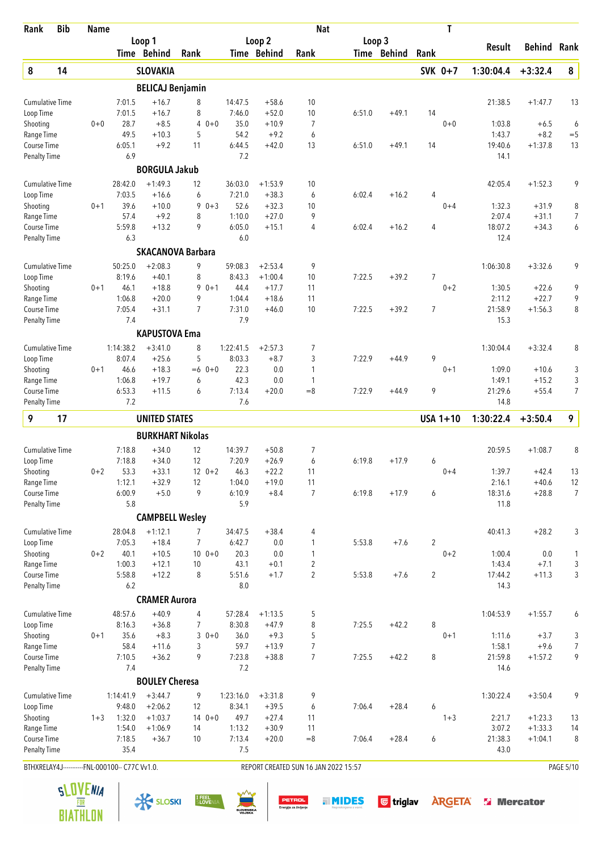| Rank                      | <b>Bib</b> | <b>Name</b>                                    |                |                         |                          |                |                    | <b>Nat</b>                           |        |             |                | T          |                   |                     |                |
|---------------------------|------------|------------------------------------------------|----------------|-------------------------|--------------------------|----------------|--------------------|--------------------------------------|--------|-------------|----------------|------------|-------------------|---------------------|----------------|
|                           |            |                                                |                | Loop 1                  |                          |                | Loop <sub>2</sub>  |                                      | Loop 3 |             |                |            | Result            | <b>Behind Rank</b>  |                |
|                           |            |                                                |                | Time Behind             | Rank                     |                | Time Behind        | Rank                                 |        | Time Behind | Rank           |            |                   |                     |                |
| 8                         | 14         |                                                |                | <b>SLOVAKIA</b>         |                          |                |                    |                                      |        |             |                | SVK 0+7    | 1:30:04.4         | $+3:32.4$           | 8              |
|                           |            |                                                |                | <b>BELICAJ Benjamin</b> |                          |                |                    |                                      |        |             |                |            |                   |                     |                |
| <b>Cumulative Time</b>    |            |                                                | 7:01.5         | $+16.7$                 | 8                        | 14:47.5        | $+58.6$            | 10                                   |        |             |                |            | 21:38.5           | $+1:47.7$           | 13             |
| Loop Time                 |            |                                                | 7:01.5         | $+16.7$                 | 8                        | 7:46.0         | $+52.0$            | 10                                   | 6:51.0 | $+49.1$     | 14             |            |                   |                     |                |
| Shooting                  |            | $0 + 0$                                        | 28.7           | $+8.5$                  | 4<br>$0 + 0$             | 35.0           | $+10.9$            | $\overline{7}$                       |        |             |                | $0 + 0$    | 1:03.8            | $+6.5$              | 6              |
| Range Time<br>Course Time |            |                                                | 49.5<br>6:05.1 | $+10.3$<br>$+9.2$       | 5<br>11                  | 54.2<br>6:44.5 | $+9.2$<br>$+42.0$  | 6<br>13                              | 6:51.0 | $+49.1$     | 14             |            | 1:43.7<br>19:40.6 | $+8.2$<br>$+1:37.8$ | $=$ 5<br>13    |
| <b>Penalty Time</b>       |            |                                                | 6.9            |                         |                          | 7.2            |                    |                                      |        |             |                |            | 14.1              |                     |                |
|                           |            |                                                |                | <b>BORGULA Jakub</b>    |                          |                |                    |                                      |        |             |                |            |                   |                     |                |
| <b>Cumulative Time</b>    |            |                                                | 28:42.0        | $+1:49.3$               | 12                       | 36:03.0        | $+1:53.9$          | 10                                   |        |             |                |            | 42:05.4           | $+1:52.3$           | 9              |
| Loop Time                 |            |                                                | 7:03.5         | $+16.6$                 | 6                        | 7:21.0         | $+38.3$            | 6                                    | 6:02.4 | $+16.2$     | 4              |            |                   |                     |                |
| Shooting                  |            | $0 + 1$                                        | 39.6           | $+10.0$                 | $0 + 3$<br>9             | 52.6           | $+32.3$            | 10                                   |        |             |                | $0 + 4$    | 1:32.3            | $+31.9$             | 8              |
| Range Time                |            |                                                | 57.4           | $+9.2$                  | 8                        | 1:10.0         | $+27.0$            | 9                                    |        |             |                |            | 2:07.4            | $+31.1$             | 7              |
| Course Time               |            |                                                | 5:59.8         | $+13.2$                 | 9                        | 6:05.0         | $+15.1$            | 4                                    | 6:02.4 | $+16.2$     | 4              |            | 18:07.2           | $+34.3$             | 6              |
| <b>Penalty Time</b>       |            |                                                | 6.3            |                         |                          | 6.0            |                    |                                      |        |             |                |            | 12.4              |                     |                |
|                           |            |                                                |                |                         | <b>SKACANOVA Barbara</b> |                |                    |                                      |        |             |                |            |                   |                     |                |
| <b>Cumulative Time</b>    |            |                                                | 50:25.0        | $+2:08.3$               | 9                        | 59:08.3        | $+2:53.4$          | 9                                    |        |             |                |            | 1:06:30.8         | $+3:32.6$           | 9              |
| Loop Time                 |            |                                                | 8:19.6         | $+40.1$                 | 8                        | 8:43.3         | $+1:00.4$          | 10                                   | 7:22.5 | $+39.2$     | 7              |            |                   |                     |                |
| Shooting<br>Range Time    |            | $0 + 1$                                        | 46.1<br>1:06.8 | $+18.8$<br>$+20.0$      | $90+1$<br>9              | 44.4<br>1:04.4 | $+17.7$<br>$+18.6$ | 11<br>11                             |        |             |                | $0 + 2$    | 1:30.5<br>2:11.2  | $+22.6$<br>$+22.7$  | 9<br>9         |
| Course Time               |            |                                                | 7:05.4         | $+31.1$                 | 7                        | 7:31.0         | $+46.0$            | 10                                   | 7:22.5 | $+39.2$     | 7              |            | 21:58.9           | $+1:56.3$           | 8              |
| Penalty Time              |            |                                                | 7.4            |                         |                          | 7.9            |                    |                                      |        |             |                |            | 15.3              |                     |                |
|                           |            |                                                |                | <b>KAPUSTOVA Ema</b>    |                          |                |                    |                                      |        |             |                |            |                   |                     |                |
| <b>Cumulative Time</b>    |            |                                                | 1:14:38.2      | $+3:41.0$               | 8                        | 1:22:41.5      | $+2:57.3$          | 7                                    |        |             |                |            | 1:30:04.4         | $+3:32.4$           | 8              |
| Loop Time                 |            |                                                | 8:07.4         | $+25.6$                 | 5                        | 8:03.3         | $+8.7$             | 3                                    | 7:22.9 | $+44.9$     | 9              |            |                   |                     |                |
| Shooting                  |            | $0 + 1$                                        | 46.6           | $+18.3$                 | $0 + 0$<br>$=6$          | 22.3           | 0.0                | 1                                    |        |             |                | $0 + 1$    | 1:09.0            | $+10.6$             | 3              |
| Range Time                |            |                                                | 1:06.8         | $+19.7$                 | 6                        | 42.3           | 0.0                | 1                                    |        |             |                |            | 1:49.1            | $+15.2$             | 3              |
| Course Time               |            |                                                | 6:53.3<br>7.2  | $+11.5$                 | 6                        | 7:13.4<br>7.6  | $+20.0$            | $=8$                                 | 7:22.9 | $+44.9$     | 9              |            | 21:29.6           | $+55.4$             | $\overline{7}$ |
| Penalty Time              |            |                                                |                |                         |                          |                |                    |                                      |        |             |                |            | 14.8              |                     |                |
| 9                         | 17         |                                                |                | <b>UNITED STATES</b>    |                          |                |                    |                                      |        |             |                | $USA 1+10$ | 1:30:22.4         | $+3:50.4$           | 9              |
|                           |            |                                                |                | <b>BURKHART Nikolas</b> |                          |                |                    |                                      |        |             |                |            |                   |                     |                |
| <b>Cumulative Time</b>    |            |                                                | 7:18.8         | $+34.0$                 | 12                       | 14:39.7        | $+50.8$            | 7                                    |        |             |                |            | 20:59.5           | $+1:08.7$           | 8              |
| Loop Time                 |            |                                                | 7:18.8         | $+34.0$                 | 12                       | 7:20.9         | $+26.9$            | 6                                    | 6:19.8 | $+17.9$     | 6              |            |                   |                     |                |
| Shooting<br>Range Time    |            | $0 + 2$                                        | 53.3<br>1:12.1 | $+33.1$<br>$+32.9$      | $120+2$<br>12            | 46.3<br>1:04.0 | $+22.2$<br>$+19.0$ | 11<br>11                             |        |             |                | $0 + 4$    | 1:39.7<br>2:16.1  | $+42.4$<br>$+40.6$  | 13<br>12       |
| Course Time               |            |                                                | 6:00.9         | $+5.0$                  | 9                        | 6:10.9         | $+8.4$             | 7                                    | 6:19.8 | $+17.9$     | 6              |            | 18:31.6           | $+28.8$             | $\overline{7}$ |
| Penalty Time              |            |                                                | 5.8            |                         |                          | 5.9            |                    |                                      |        |             |                |            | 11.8              |                     |                |
|                           |            |                                                |                | <b>CAMPBELL Wesley</b>  |                          |                |                    |                                      |        |             |                |            |                   |                     |                |
| Cumulative Time           |            |                                                | 28:04.8        | $+1:12.1$               | 7                        | 34:47.5        | $+38.4$            | 4                                    |        |             |                |            | 40:41.3           | $+28.2$             | 3              |
| Loop Time                 |            |                                                | 7:05.3         | $+18.4$                 | 7                        | 6:42.7         | 0.0                | 1                                    | 5:53.8 | $+7.6$      | $\overline{c}$ |            |                   |                     |                |
| Shooting                  |            | $0 + 2$                                        | 40.1           | $+10.5$                 | $100 + 0$                | 20.3           | 0.0                | $\mathbf{1}$                         |        |             |                | $0 + 2$    | 1:00.4            | 0.0                 | 1              |
| Range Time                |            |                                                | 1:00.3         | $+12.1$                 | 10                       | 43.1           | $+0.1$             | $\overline{2}$                       |        |             |                |            | 1:43.4            | $+7.1$              | 3              |
| Course Time               |            |                                                | 5:58.8         | $+12.2$                 | 8                        | 5:51.6         | $+1.7$             | $\overline{2}$                       | 5:53.8 | $+7.6$      | $\overline{2}$ |            | 17:44.2           | $+11.3$             | 3              |
| Penalty Time              |            |                                                | 6.2            |                         |                          | 8.0            |                    |                                      |        |             |                |            | 14.3              |                     |                |
|                           |            |                                                |                | <b>CRAMER Aurora</b>    |                          |                |                    |                                      |        |             |                |            |                   |                     |                |
| Cumulative Time           |            |                                                | 48:57.6        | $+40.9$                 | 4                        | 57:28.4        | $+1:13.5$          | 5                                    |        |             |                |            | 1:04:53.9         | $+1:55.7$           | 6              |
| Loop Time                 |            |                                                | 8:16.3         | $+36.8$                 | 7                        | 8:30.8         | $+47.9$            | 8                                    | 7:25.5 | $+42.2$     | 8              |            |                   |                     |                |
| Shooting                  |            | $0 + 1$                                        | 35.6           | $+8.3$                  | $30+0$                   | 36.0           | $+9.3$             | 5                                    |        |             |                | $0 + 1$    | 1:11.6            | $+3.7$              | 3              |
| Range Time<br>Course Time |            |                                                | 58.4<br>7:10.5 | $+11.6$<br>$+36.2$      | 3<br>9                   | 59.7<br>7:23.8 | $+13.9$<br>$+38.8$ | 7<br>$\overline{7}$                  | 7:25.5 | $+42.2$     | 8              |            | 1:58.1<br>21:59.8 | $+9.6$<br>$+1:57.2$ | 7<br>9         |
| <b>Penalty Time</b>       |            |                                                | 7.4            |                         |                          | 7.2            |                    |                                      |        |             |                |            | 14.6              |                     |                |
|                           |            |                                                |                | <b>BOULEY Cheresa</b>   |                          |                |                    |                                      |        |             |                |            |                   |                     |                |
| <b>Cumulative Time</b>    |            |                                                | 1:14:41.9      | $+3:44.7$               | 9                        | 1:23:16.0      | $+3:31.8$          | 9                                    |        |             |                |            | 1:30:22.4         | $+3:50.4$           | 9              |
| Loop Time                 |            |                                                | 9:48.0         | $+2:06.2$               | 12                       | 8:34.1         | $+39.5$            | 6                                    | 7:06.4 | $+28.4$     | 6              |            |                   |                     |                |
| Shooting                  |            | $1 + 3$                                        | 1:32.0         | $+1:03.7$               | $140++0$                 | 49.7           | $+27.4$            | 11                                   |        |             |                | $1 + 3$    | 2:21.7            | $+1:23.3$           | 13             |
| Range Time                |            |                                                | 1:54.0         | $+1:06.9$               | 14                       | 1:13.2         | $+30.9$            | 11                                   |        |             |                |            | 3:07.2            | $+1:33.3$           | 14             |
| Course Time               |            |                                                | 7:18.5         | $+36.7$                 | 10                       | 7:13.4         | $+20.0$            | $= 8$                                | 7:06.4 | $+28.4$     | 6              |            | 21:38.3           | $+1:04.1$           | 8              |
| <b>Penalty Time</b>       |            |                                                | 35.4           |                         |                          | 7.5            |                    |                                      |        |             |                |            | 43.0              |                     |                |
|                           |            | BTHXRELAY4J-----------FNL-000100-- C77C Vv1.0. |                |                         |                          |                |                    | REPORT CREATED SUN 16 JAN 2022 15:57 |        |             |                |            |                   |                     | PAGE 5/10      |

**BIATHLON** 





**TIMIDES** Gtriglav **ARGETA** & Mercator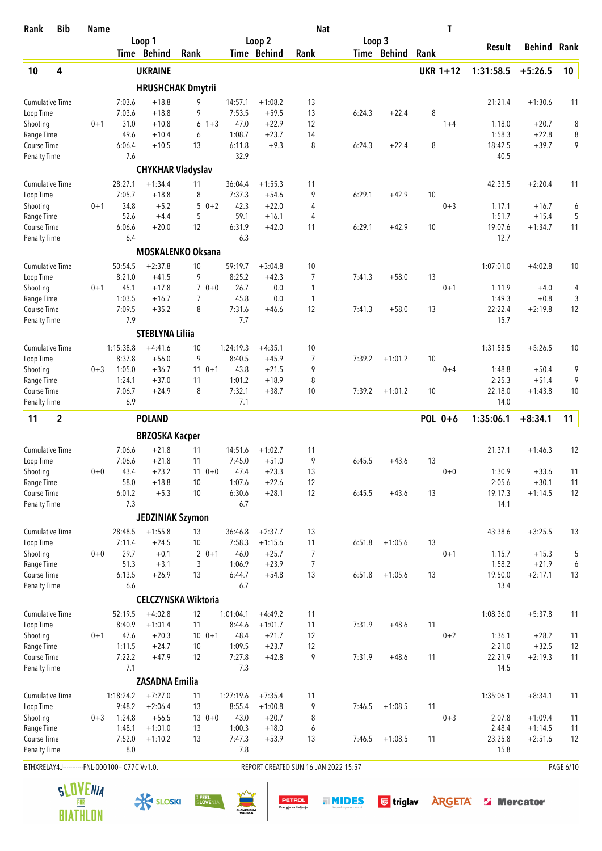| Rank                               | <b>Bib</b>   | <b>Name</b>                   |                   |                          |                            |                     |                        | <b>Nat</b>                           |        |             |      | Τ               |                  |                  |           |
|------------------------------------|--------------|-------------------------------|-------------------|--------------------------|----------------------------|---------------------|------------------------|--------------------------------------|--------|-------------|------|-----------------|------------------|------------------|-----------|
|                                    |              |                               |                   | Loop 1                   |                            |                     | Loop 2                 |                                      | Loop 3 |             |      |                 | <b>Result</b>    | <b>Behind</b>    | Rank      |
|                                    |              |                               |                   | Time Behind              | Rank                       |                     | Time Behind            | Rank                                 |        | Time Behind | Rank |                 |                  |                  |           |
| 10                                 | 4            |                               |                   | <b>UKRAINE</b>           |                            |                     |                        |                                      |        |             |      | <b>UKR 1+12</b> | 1:31:58.5        | $+5:26.5$        | 10        |
|                                    |              |                               |                   |                          | <b>HRUSHCHAK Dmytrii</b>   |                     |                        |                                      |        |             |      |                 |                  |                  |           |
| <b>Cumulative Time</b>             |              |                               | 7:03.6            | $+18.8$                  | 9                          | 14:57.1             | $+1:08.2$              | 13                                   |        |             |      |                 | 21:21.4          | $+1:30.6$        | 11        |
| Loop Time                          |              |                               | 7:03.6            | $+18.8$                  | 9                          | 7:53.5              | $+59.5$                | 13                                   | 6:24.3 | $+22.4$     | 8    |                 |                  |                  |           |
| Shooting                           |              | $0 + 1$                       | 31.0              | $+10.8$                  | 6<br>$1 + 3$               | 47.0                | $+22.9$                | 12                                   |        |             |      | $1 + 4$         | 1:18.0           | $+20.7$          | 8         |
| Range Time                         |              |                               | 49.6              | $+10.4$                  | 6                          | 1:08.7              | $+23.7$                | 14                                   |        |             |      |                 | 1:58.3           | $+22.8$          | 8         |
| Course Time                        |              |                               | 6:06.4            | $+10.5$                  | 13                         | 6:11.8              | $+9.3$                 | 8                                    | 6:24.3 | $+22.4$     | 8    |                 | 18:42.5          | $+39.7$          | 9         |
| Penalty Time                       |              |                               | 7.6               |                          |                            | 32.9                |                        |                                      |        |             |      |                 | 40.5             |                  |           |
|                                    |              |                               |                   | <b>CHYKHAR Vladyslav</b> |                            |                     |                        |                                      |        |             |      |                 |                  |                  |           |
| <b>Cumulative Time</b>             |              |                               | 28:27.1           | $+1:34.4$                | 11                         | 36:04.4             | $+1:55.3$              | 11                                   |        |             |      |                 | 42:33.5          | $+2:20.4$        | 11        |
| Loop Time                          |              |                               | 7:05.7            | $+18.8$                  | 8                          | 7:37.3              | $+54.6$                | 9                                    | 6:29.1 | $+42.9$     | 10   |                 |                  |                  |           |
| Shooting                           |              | $0 + 1$                       | 34.8              | $+5.2$                   | 5<br>$0 + 2$               | 42.3                | $+22.0$                | 4                                    |        |             |      | $0 + 3$         | 1:17.1           | $+16.7$          | 6         |
| Range Time                         |              |                               | 52.6              | $+4.4$                   | 5                          | 59.1                | $+16.1$                | 4                                    |        |             |      |                 | 1:51.7           | $+15.4$          | 5         |
| Course Time<br><b>Penalty Time</b> |              |                               | 6:06.6<br>6.4     | $+20.0$                  | 12                         | 6:31.9<br>6.3       | $+42.0$                | 11                                   | 6:29.1 | $+42.9$     | 10   |                 | 19:07.6<br>12.7  | $+1:34.7$        | 11        |
|                                    |              |                               |                   |                          |                            |                     |                        |                                      |        |             |      |                 |                  |                  |           |
|                                    |              |                               |                   |                          | <b>MOSKALENKO Oksana</b>   |                     |                        |                                      |        |             |      |                 |                  |                  |           |
| <b>Cumulative Time</b>             |              |                               | 50:54.5           | $+2:37.8$                | 10                         | 59:19.7             | $+3:04.8$              | 10                                   |        |             |      |                 | 1:07:01.0        | $+4:02.8$        | 10        |
| Loop Time                          |              |                               | 8:21.0            | $+41.5$                  | 9                          | 8:25.2              | $+42.3$                | 7                                    | 7:41.3 | $+58.0$     | 13   |                 |                  |                  |           |
| Shooting<br>Range Time             |              | $0 + 1$                       | 45.1<br>1:03.5    | $+17.8$<br>$+16.7$       | $70+0$<br>7                | 26.7<br>45.8        | 0.0<br>0.0             | 1<br>$\mathbf{1}$                    |        |             |      | $0 + 1$         | 1:11.9<br>1:49.3 | $+4.0$<br>$+0.8$ | 4<br>3    |
| Course Time                        |              |                               | 7:09.5            | $+35.2$                  | 8                          | 7:31.6              | $+46.6$                | 12                                   | 7:41.3 | $+58.0$     | 13   |                 | 22:22.4          | $+2:19.8$        | 12        |
| <b>Penalty Time</b>                |              |                               | 7.9               |                          |                            | 7.7                 |                        |                                      |        |             |      |                 | 15.7             |                  |           |
|                                    |              |                               |                   | <b>STEBLYNA Liliia</b>   |                            |                     |                        |                                      |        |             |      |                 |                  |                  |           |
| <b>Cumulative Time</b>             |              |                               | 1:15:38.8         | $+4:41.6$                | 10                         | 1:24:19.3           | $+4:35.1$              | 10                                   |        |             |      |                 | 1:31:58.5        | $+5:26.5$        | 10        |
| Loop Time                          |              |                               | 8:37.8            | $+56.0$                  | 9                          | 8:40.5              | $+45.9$                | 7                                    | 7:39.2 | $+1:01.2$   | 10   |                 |                  |                  |           |
| Shooting                           |              | $0 + 3$                       | 1:05.0            | $+36.7$                  | $110+1$                    | 43.8                | $+21.5$                | 9                                    |        |             |      | $0 + 4$         | 1:48.8           | $+50.4$          | 9         |
| Range Time                         |              |                               | 1:24.1            | $+37.0$                  | 11                         | 1:01.2              | $+18.9$                | 8                                    |        |             |      |                 | 2:25.3           | $+51.4$          | 9         |
| Course Time                        |              |                               | 7:06.7            | $+24.9$                  | 8                          | 7:32.1              | $+38.7$                | 10                                   | 7:39.2 | $+1:01.2$   | 10   |                 | 22:18.0          | $+1:43.8$        | 10        |
| Penalty Time                       |              |                               | 6.9               |                          |                            | 7.1                 |                        |                                      |        |             |      |                 | 14.0             |                  |           |
| 11                                 | $\mathbf{2}$ |                               |                   | <b>POLAND</b>            |                            |                     |                        |                                      |        |             |      | POL 0+6         | 1:35:06.1        | $+8:34.1$        | 11        |
|                                    |              |                               |                   | <b>BRZOSKA Kacper</b>    |                            |                     |                        |                                      |        |             |      |                 |                  |                  |           |
| <b>Cumulative Time</b>             |              |                               | 7:06.6            | $+21.8$                  | 11                         | 14:51.6             | $+1:02.7$              | 11                                   |        |             |      |                 | 21:37.1          | $+1:46.3$        | 12        |
| Loop Time                          |              |                               | 7:06.6            | $+21.8$                  | 11                         | 7:45.0              | $+51.0$                | 9                                    | 6:45.5 | $+43.6$     | 13   |                 |                  |                  |           |
| Shooting                           |              | $0+0$                         | 43.4              | $+23.2$                  | $11 0 + 0$                 | 47.4                | $+23.3$                | 13                                   |        |             |      | $0+0$           | 1:30.9           | $+33.6$          | 11        |
| Range Time                         |              |                               | 58.0              | $+18.8$                  | 10                         | 1:07.6              | $+22.6$                | 12                                   |        |             |      |                 | 2:05.6           | $+30.1$          | 11        |
| Course Time                        |              |                               | 6:01.2            | $+5.3$                   | 10                         | 6:30.6              | $+28.1$                | 12                                   | 6:45.5 | $+43.6$     | 13   |                 | 19:17.3          | $+1:14.5$        | 12        |
| <b>Penalty Time</b>                |              |                               | 7.3               |                          |                            | 6.7                 |                        |                                      |        |             |      |                 | 14.1             |                  |           |
|                                    |              |                               |                   | <b>JEDZINIAK Szymon</b>  |                            |                     |                        |                                      |        |             |      |                 |                  |                  |           |
| Cumulative Time                    |              |                               | 28:48.5           | $+1:55.8$                | 13                         | 36:46.8             | $+2:37.7$              | 13                                   |        |             |      |                 | 43:38.6          | $+3:25.5$        | 13        |
| Loop Time                          |              |                               | 7:11.4            | $+24.5$                  | 10                         | 7:58.3              | $+1:15.6$              | 11                                   | 6:51.8 | $+1:05.6$   | 13   |                 |                  |                  |           |
| Shooting                           |              | $0 + 0$                       | 29.7              | $+0.1$                   | $20+1$                     | 46.0                | $+25.7$                | $\overline{7}$                       |        |             |      | $0 + 1$         | 1:15.7           | $+15.3$          | 5         |
| Range Time                         |              |                               | 51.3              | $+3.1$                   | 3                          | 1:06.9              | $+23.9$                | 7                                    |        |             |      |                 | 1:58.2           | $+21.9$          | 6         |
| Course Time<br><b>Penalty Time</b> |              |                               | 6:13.5<br>6.6     | $+26.9$                  | 13                         | 6:44.7<br>6.7       | $+54.8$                | 13                                   | 6:51.8 | $+1:05.6$   | 13   |                 | 19:50.0<br>13.4  | $+2:17.1$        | 13        |
|                                    |              |                               |                   |                          | <b>CELCZYNSKA Wiktoria</b> |                     |                        |                                      |        |             |      |                 |                  |                  |           |
|                                    |              |                               |                   |                          |                            |                     |                        |                                      |        |             |      |                 |                  |                  |           |
| <b>Cumulative Time</b>             |              |                               | 52:19.5<br>8:40.9 | $+4:02.8$<br>$+1:01.4$   | 12<br>11                   | 1:01:04.1<br>8:44.6 | $+4:49.2$<br>$+1:01.7$ | 11<br>11                             | 7:31.9 | $+48.6$     | 11   |                 | 1:08:36.0        | $+5:37.8$        | 11        |
| Loop Time<br>Shooting              |              | $0 + 1$                       | 47.6              | $+20.3$                  | $10 \t 0+1$                | 48.4                | $+21.7$                | 12                                   |        |             |      | $0 + 2$         | 1:36.1           | $+28.2$          | 11        |
| Range Time                         |              |                               | 1:11.5            | $+24.7$                  | 10                         | 1:09.5              | $+23.7$                | 12                                   |        |             |      |                 | 2:21.0           | $+32.5$          | 12        |
| Course Time                        |              |                               | 7:22.2            | $+47.9$                  | 12                         | 7:27.8              | $+42.8$                | 9                                    | 7:31.9 | $+48.6$     | 11   |                 | 22:21.9          | $+2:19.3$        | 11        |
| <b>Penalty Time</b>                |              |                               | 7.1               |                          |                            | 7.3                 |                        |                                      |        |             |      |                 | 14.5             |                  |           |
|                                    |              |                               |                   | <b>ZASADNA Emilia</b>    |                            |                     |                        |                                      |        |             |      |                 |                  |                  |           |
| <b>Cumulative Time</b>             |              |                               | 1:18:24.2         | $+7:27.0$                | 11                         | 1:27:19.6           | $+7:35.4$              | 11                                   |        |             |      |                 | 1:35:06.1        | $+8:34.1$        | 11        |
| Loop Time                          |              |                               | 9:48.2            | $+2:06.4$                | 13                         | 8:55.4              | $+1:00.8$              | 9                                    | 7:46.5 | $+1:08.5$   | 11   |                 |                  |                  |           |
| Shooting                           |              | $0 + 3$                       | 1:24.8            | $+56.5$                  | $130+0$                    | 43.0                | $+20.7$                | 8                                    |        |             |      | $0 + 3$         | 2:07.8           | $+1:09.4$        | 11        |
| Range Time                         |              |                               | 1:48.1            | $+1:01.0$                | 13                         | 1:00.3              | $+18.0$                | 6                                    |        |             |      |                 | 2:48.4           | $+1:14.5$        | 11        |
| Course Time                        |              |                               | 7:52.0            | $+1:10.2$                | 13                         | 7:47.3              | $+53.9$                | 13                                   | 7:46.5 | $+1:08.5$   | 11   |                 | 23:25.8          | $+2:51.6$        | 12        |
| <b>Penalty Time</b>                |              |                               | 8.0               |                          |                            | 7.8                 |                        |                                      |        |             |      |                 | 15.8             |                  |           |
| BTHXRELAY4J                        |              | --- FNL-000100 -- C77C Vv1.0. |                   |                          |                            |                     |                        | REPORT CREATED SUN 16 JAN 2022 15:57 |        |             |      |                 |                  |                  | PAGE 6/10 |

**BIATHLON** 





**TIMIDES** Gtriglav **ARGETA** & Mercator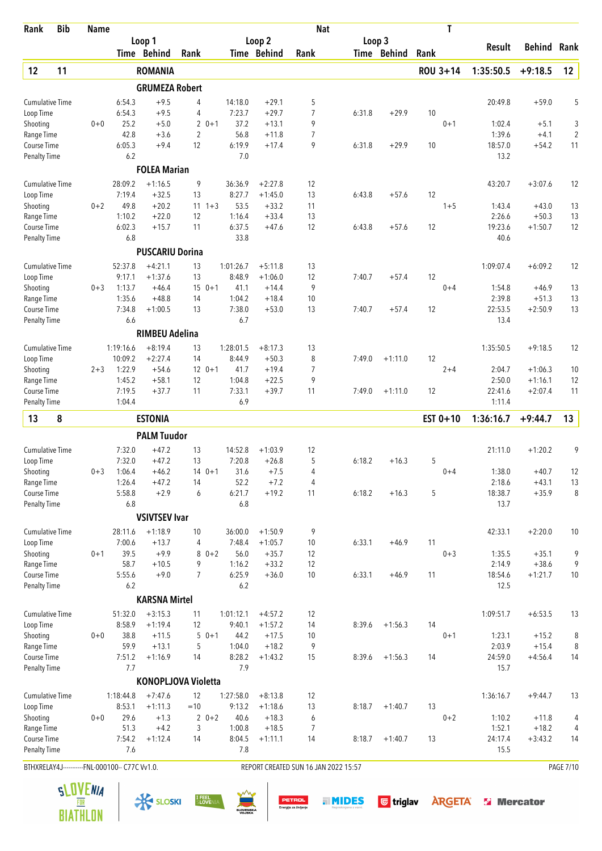| Rank                                | <b>Bib</b> | Name                                           |                   |                            |                |             |                     |                        | <b>Nat</b>                           |        |             |      | T        |                 |                   |                |
|-------------------------------------|------------|------------------------------------------------|-------------------|----------------------------|----------------|-------------|---------------------|------------------------|--------------------------------------|--------|-------------|------|----------|-----------------|-------------------|----------------|
|                                     |            |                                                |                   | Loop 1                     |                |             |                     | Loop <sub>2</sub>      |                                      | Loop 3 |             |      |          | <b>Result</b>   | Behind            | Rank           |
|                                     |            |                                                |                   | Time Behind                | Rank           |             |                     | Time Behind            | Rank                                 |        | Time Behind | Rank |          |                 |                   |                |
| 12                                  | 11         |                                                |                   | <b>ROMANIA</b>             |                |             |                     |                        |                                      |        |             |      | ROU 3+14 | 1:35:50.5       | $+9:18.5$         | 12             |
|                                     |            |                                                |                   | <b>GRUMEZA Robert</b>      |                |             |                     |                        |                                      |        |             |      |          |                 |                   |                |
| <b>Cumulative Time</b>              |            |                                                | 6:54.3            | $+9.5$                     | 4              |             | 14:18.0             | $+29.1$                | 5                                    |        |             |      |          | 20:49.8         | $+59.0$           | 5              |
| Loop Time                           |            |                                                | 6:54.3            | $+9.5$                     | 4              |             | 7:23.7              | $+29.7$                | 7                                    | 6:31.8 | $+29.9$     | 10   |          |                 |                   |                |
| Shooting                            |            | $0 + 0$                                        | 25.2              | $+5.0$                     | $\overline{2}$ | $0 + 1$     | 37.2                | $+13.1$                | 9                                    |        |             |      | $0 + 1$  | 1:02.4          | $+5.1$            | 3              |
| Range Time                          |            |                                                | 42.8<br>6:05.3    | $+3.6$<br>$+9.4$           | $\overline{2}$ |             | 56.8<br>6:19.9      | $+11.8$                | $\overline{7}$<br>9                  |        |             |      |          | 1:39.6          | $+4.1$<br>$+54.2$ | $\overline{2}$ |
| <b>Course Time</b><br>Penalty Time  |            |                                                | 6.2               |                            | 12             |             | 7.0                 | $+17.4$                |                                      | 6:31.8 | $+29.9$     | 10   |          | 18:57.0<br>13.2 |                   | 11             |
|                                     |            |                                                |                   | <b>FOLEA Marian</b>        |                |             |                     |                        |                                      |        |             |      |          |                 |                   |                |
| <b>Cumulative Time</b>              |            |                                                | 28:09.2           | $+1:16.5$                  | 9              |             | 36:36.9             | $+2:27.8$              | 12                                   |        |             |      |          | 43:20.7         | $+3:07.6$         | 12             |
| Loop Time                           |            |                                                | 7:19.4            | $+32.5$                    | 13             |             | 8:27.7              | $+1:45.0$              | 13                                   | 6:43.8 | $+57.6$     | 12   |          |                 |                   |                |
| Shooting                            |            | $0 + 2$                                        | 49.8              | $+20.2$                    | 11             | $1 + 3$     | 53.5                | $+33.2$                | 11                                   |        |             |      | $1 + 5$  | 1:43.4          | $+43.0$           | 13             |
| Range Time                          |            |                                                | 1:10.2            | $+22.0$                    | 12             |             | 1:16.4              | $+33.4$                | 13                                   |        |             |      |          | 2:26.6          | $+50.3$           | 13             |
| Course Time                         |            |                                                | 6:02.3            | $+15.7$                    | 11             |             | 6:37.5              | $+47.6$                | 12                                   | 6:43.8 | $+57.6$     | 12   |          | 19:23.6         | $+1:50.7$         | 12             |
| <b>Penalty Time</b>                 |            |                                                | 6.8               |                            |                |             | 33.8                |                        |                                      |        |             |      |          | 40.6            |                   |                |
|                                     |            |                                                |                   | <b>PUSCARIU Dorina</b>     |                |             |                     |                        |                                      |        |             |      |          |                 |                   |                |
| <b>Cumulative Time</b>              |            |                                                | 52:37.8           | $+4:21.1$                  | 13             |             | 1:01:26.7           | $+5:11.8$              | 13                                   |        |             |      |          | 1:09:07.4       | $+6:09.2$         | 12             |
| Loop Time                           |            |                                                | 9:17.1            | $+1:37.6$                  | 13             |             | 8:48.9              | $+1:06.0$              | 12                                   | 7:40.7 | $+57.4$     | 12   |          |                 |                   |                |
| Shooting                            |            | $0 + 3$                                        | 1:13.7            | $+46.4$                    |                | $15 \t 0+1$ | 41.1                | $+14.4$                | 9                                    |        |             |      | $0 + 4$  | 1:54.8          | $+46.9$           | 13             |
| Range Time                          |            |                                                | 1:35.6            | $+48.8$                    | 14             |             | 1:04.2              | $+18.4$                | 10                                   |        |             |      |          | 2:39.8          | $+51.3$           | 13             |
| Course Time                         |            |                                                | 7:34.8            | $+1:00.5$                  | 13             |             | 7:38.0              | $+53.0$                | 13                                   | 7:40.7 | $+57.4$     | 12   |          | 22:53.5         | $+2:50.9$         | 13             |
| Penalty Time                        |            |                                                | 6.6               |                            |                |             | 6.7                 |                        |                                      |        |             |      |          | 13.4            |                   |                |
|                                     |            |                                                |                   | <b>RIMBEU Adelina</b>      |                |             |                     |                        |                                      |        |             |      |          |                 |                   |                |
| <b>Cumulative Time</b>              |            |                                                | 1:19:16.6         | $+8:19.4$                  | 13             |             | 1:28:01.5           | $+8:17.3$              | 13                                   |        |             |      |          | 1:35:50.5       | $+9:18.5$         | 12             |
| Loop Time<br>Shooting               |            | $2 + 3$                                        | 10:09.2<br>1:22.9 | $+2:27.4$<br>$+54.6$       | 14             | $12 \t 0+1$ | 8:44.9<br>41.7      | $+50.3$<br>$+19.4$     | 8<br>7                               | 7:49.0 | $+1:11.0$   | 12   | $2 + 4$  | 2:04.7          | $+1:06.3$         | 10             |
| Range Time                          |            |                                                | 1:45.2            | $+58.1$                    | 12             |             | 1:04.8              | $+22.5$                | 9                                    |        |             |      |          | 2:50.0          | $+1:16.1$         | 12             |
| <b>Course Time</b>                  |            |                                                | 7:19.5            | $+37.7$                    | 11             |             | 7:33.1              | $+39.7$                | 11                                   | 7:49.0 | $+1:11.0$   | 12   |          | 22:41.6         | $+2:07.4$         | 11             |
| Penalty Time                        |            |                                                | 1:04.4            |                            |                |             | 6.9                 |                        |                                      |        |             |      |          | 1:11.4          |                   |                |
| 13                                  | 8          |                                                |                   | <b>ESTONIA</b>             |                |             |                     |                        |                                      |        |             |      | EST 0+10 | 1:36:16.7       | $+9:44.7$         | 13             |
|                                     |            |                                                |                   | <b>PALM Tuudor</b>         |                |             |                     |                        |                                      |        |             |      |          |                 |                   |                |
| <b>Cumulative Time</b>              |            |                                                | 7:32.0            | $+47.2$                    | 13             |             | 14:52.8             | $+1:03.9$              | 12                                   |        |             |      |          | 21:11.0         | $+1:20.2$         | 9              |
| Loop Time                           |            |                                                | 7:32.0            | $+47.2$                    | 13             |             | 7:20.8              | $+26.8$                | 5                                    | 6:18.2 | $+16.3$     | 5    |          |                 |                   |                |
| Shooting                            |            | $0 + 3$                                        | 1:06.4            | $+46.2$                    |                | $140+1$     | 31.6                | $+7.5$                 | 4                                    |        |             |      | $0 + 4$  | 1:38.0          | $+40.7$           | 12             |
| Range Time                          |            |                                                | 1:26.4            | $+47.2$                    | 14             |             | 52.2                | $+7.2$                 | 4                                    |        |             |      |          | 2:18.6          | $+43.1$           | 13             |
| Course Time                         |            |                                                | 5:58.8            | $+2.9$                     | 6              |             | 6:21.7              | $+19.2$                | 11                                   | 6:18.2 | $+16.3$     | 5    |          | 18:38.7         | $+35.9$           | 8              |
| Penalty Time                        |            |                                                | 6.8               |                            |                |             | 6.8                 |                        |                                      |        |             |      |          | 13.7            |                   |                |
|                                     |            |                                                |                   | <b>VSIVTSEV Ivar</b>       |                |             |                     |                        |                                      |        |             |      |          |                 |                   |                |
| <b>Cumulative Time</b>              |            |                                                | 28:11.6           | $+1:18.9$                  | 10             |             | 36:00.0             | $+1:50.9$              | 9                                    |        |             |      |          | 42:33.1         | $+2:20.0$         | 10             |
| Loop Time                           |            |                                                | 7:00.6            | $+13.7$                    | 4              |             | 7:48.4              | $+1:05.7$              | 10                                   | 6:33.1 | $+46.9$     | 11   |          |                 |                   |                |
| Shooting                            |            | $0 + 1$                                        | 39.5              | $+9.9$                     |                | $80+2$      | 56.0                | $+35.7$                | 12                                   |        |             |      | $0 + 3$  | 1:35.5          | $+35.1$           | 9              |
| Range Time                          |            |                                                | 58.7              | $+10.5$                    | 9              |             | 1:16.2              | $+33.2$                | 12                                   |        |             |      |          | 2:14.9          | $+38.6$           | 9              |
| Course Time<br><b>Penalty Time</b>  |            |                                                | 5:55.6<br>6.2     | $+9.0$                     | $\overline{7}$ |             | 6:25.9<br>6.2       | $+36.0$                | 10                                   | 6:33.1 | $+46.9$     | 11   |          | 18:54.6<br>12.5 | $+1:21.7$         | 10             |
|                                     |            |                                                |                   | <b>KARSNA Mirtel</b>       |                |             |                     |                        |                                      |        |             |      |          |                 |                   |                |
|                                     |            |                                                |                   |                            |                |             |                     |                        |                                      |        |             |      |          |                 |                   |                |
| <b>Cumulative Time</b><br>Loop Time |            |                                                | 51:32.0<br>8:58.9 | $+3:15.3$<br>$+1:19.4$     | 11<br>12       |             | 1:01:12.1<br>9:40.1 | $+4:57.2$<br>$+1:57.2$ | 12<br>14                             | 8:39.6 | $+1:56.3$   | 14   |          | 1:09:51.7       | $+6:53.5$         | 13             |
| Shooting                            |            | $0 + 0$                                        | 38.8              | $+11.5$                    |                | $50+1$      | 44.2                | $+17.5$                | 10                                   |        |             |      | $0 + 1$  | 1:23.1          | $+15.2$           | 8              |
| Range Time                          |            |                                                | 59.9              | $+13.1$                    | 5              |             | 1:04.0              | $+18.2$                | 9                                    |        |             |      |          | 2:03.9          | $+15.4$           | 8              |
| Course Time                         |            |                                                | 7:51.2            | $+1:16.9$                  | 14             |             | 8:28.2              | $+1:43.2$              | 15                                   | 8:39.6 | $+1:56.3$   | 14   |          | 24:59.0         | $+4:56.4$         | 14             |
| <b>Penalty Time</b>                 |            |                                                | 7.7               |                            |                |             | 7.9                 |                        |                                      |        |             |      |          | 15.7            |                   |                |
|                                     |            |                                                |                   | <b>KONOPLJOVA Violetta</b> |                |             |                     |                        |                                      |        |             |      |          |                 |                   |                |
| <b>Cumulative Time</b>              |            |                                                | 1:18:44.8         | $+7:47.6$                  | 12             |             | 1:27:58.0           | $+8:13.8$              | 12                                   |        |             |      |          | 1:36:16.7       | $+9:44.7$         | 13             |
| Loop Time                           |            |                                                | 8:53.1            | $+1:11.3$                  | $=10$          |             | 9:13.2              | $+1:18.6$              | 13                                   | 8:18.7 | $+1:40.7$   | 13   |          |                 |                   |                |
| Shooting                            |            | $0 + 0$                                        | 29.6              | $+1.3$                     |                | $20+2$      | 40.6                | $+18.3$                | 6                                    |        |             |      | $0 + 2$  | 1:10.2          | $+11.8$           | 4              |
| Range Time                          |            |                                                | 51.3              | $+4.2$                     | 3              |             | 1:00.8              | $+18.5$                | 7                                    |        |             |      |          | 1:52.1          | $+18.2$           | 4              |
| Course Time                         |            |                                                | 7:54.2            | $+1:12.4$                  | 14             |             | 8:04.5              | $+1:11.1$              | 14                                   | 8:18.7 | $+1:40.7$   | 13   |          | 24:17.4         | $+3:43.2$         | 14             |
| Penalty Time                        |            |                                                | 7.6               |                            |                |             | 7.8                 |                        |                                      |        |             |      |          | 15.5            |                   |                |
|                                     |            | BTHXRELAY4J-----------FNL-000100-- C77C Vv1.0. |                   |                            |                |             |                     |                        | REPORT CREATED SUN 16 JAN 2022 15:57 |        |             |      |          |                 |                   | PAGE 7/10      |

 $\frac{1}{\sqrt{2}}$  SLOSKI SLOSKI SLOVENIA SUN DETROL SUNDES G triglav ARGETA SI Mercator



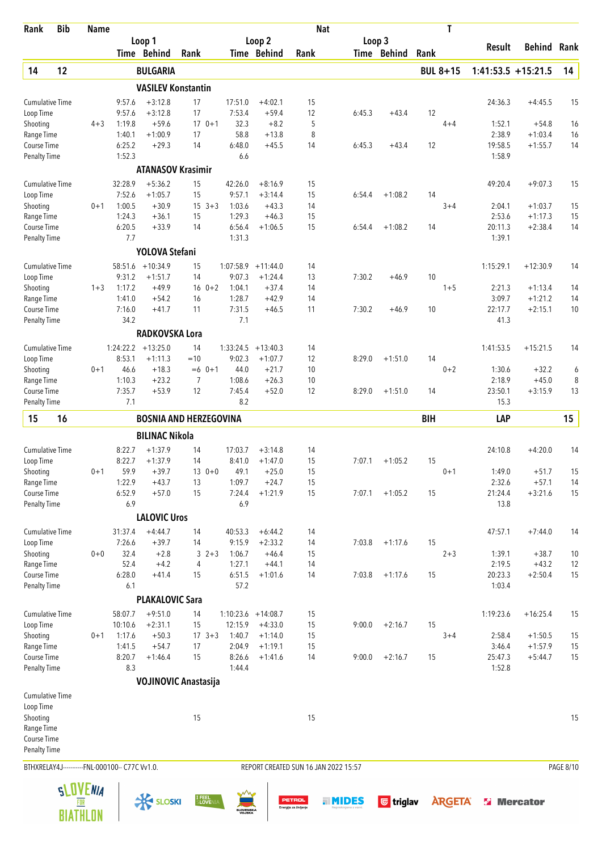| Rank                               | <b>Bib</b> | <b>Name</b>     |                                                |                           |                               |                            |                       |                                        | <b>Nat</b>                           |             |            | T               |                      |                    |                  |
|------------------------------------|------------|-----------------|------------------------------------------------|---------------------------|-------------------------------|----------------------------|-----------------------|----------------------------------------|--------------------------------------|-------------|------------|-----------------|----------------------|--------------------|------------------|
|                                    |            |                 |                                                | Loop 1<br>Time Behind     | Rank                          |                            | Loop 2<br>Time Behind | Rank                                   | Loop 3                               | Time Behind | Rank       |                 | Result               | Behind             | Rank             |
| 14                                 | 12         |                 |                                                | <b>BULGARIA</b>           |                               |                            |                       |                                        |                                      |             |            | <b>BUL 8+15</b> | $1:41:53.5 +15:21.5$ |                    | 14               |
|                                    |            |                 |                                                | <b>VASILEV Konstantin</b> |                               |                            |                       |                                        |                                      |             |            |                 |                      |                    |                  |
| <b>Cumulative Time</b>             |            |                 | 9:57.6                                         | $+3:12.8$                 | 17                            | 17:51.0                    | $+4:02.1$             | 15                                     |                                      |             |            |                 | 24:36.3              | $+4:45.5$          | 15               |
| Loop Time                          |            |                 | 9:57.6                                         | $+3:12.8$                 | 17                            | 7:53.4                     | $+59.4$               | 12                                     | 6:45.3                               | $+43.4$     | 12         |                 |                      |                    |                  |
| Shooting                           |            | $4 + 3$         | 1:19.8                                         | $+59.6$                   | $170+1$                       | 32.3                       | $+8.2$                | 5                                      |                                      |             |            | $4 + 4$         | 1:52.1               | $+54.8$            | 16               |
| Range Time                         |            |                 | 1:40.1                                         | $+1:00.9$                 | 17                            | 58.8                       | $+13.8$               | 8                                      |                                      |             |            |                 | 2:38.9               | $+1:03.4$          | 16               |
| Course Time<br><b>Penalty Time</b> |            |                 | 6:25.2<br>1:52.3                               | $+29.3$                   | 14                            | 6:48.0<br>6.6              | $+45.5$               | 14                                     | 6:45.3                               | $+43.4$     | 12         |                 | 19:58.5<br>1:58.9    | $+1:55.7$          | 14               |
|                                    |            |                 |                                                | <b>ATANASOV Krasimir</b>  |                               |                            |                       |                                        |                                      |             |            |                 |                      |                    |                  |
| <b>Cumulative Time</b>             |            |                 | 32:28.9                                        | $+5:36.2$                 | 15                            | 42:26.0                    | $+8:16.9$             | 15                                     |                                      |             |            |                 | 49:20.4              | $+9:07.3$          | 15               |
| Loop Time                          |            |                 | 7:52.6                                         | $+1:05.7$                 | 15                            | 9:57.1                     | $+3:14.4$             | 15                                     | 6:54.4                               | $+1:08.2$   | 14         |                 |                      |                    |                  |
| Shooting                           |            | $0 + 1$         | 1:00.5                                         | $+30.9$                   | $15 \t3+3$                    | 1:03.6                     | $+43.3$               | 14                                     |                                      |             |            | $3 + 4$         | 2:04.1               | $+1:03.7$          | 15               |
| Range Time                         |            |                 | 1:24.3                                         | $+36.1$                   | 15                            | 1:29.3                     | $+46.3$               | 15                                     |                                      |             |            |                 | 2:53.6               | $+1:17.3$          | 15               |
| Course Time<br><b>Penalty Time</b> |            |                 | 6:20.5<br>7.7                                  | $+33.9$                   | 14                            | 6:56.4<br>1:31.3           | $+1:06.5$             | 15                                     | 6:54.4                               | $+1:08.2$   | 14         |                 | 20:11.3<br>1:39.1    | $+2:38.4$          | 14               |
|                                    |            |                 |                                                | YOLOVA Stefani            |                               |                            |                       |                                        |                                      |             |            |                 |                      |                    |                  |
| <b>Cumulative Time</b>             |            |                 | 58:51.6                                        | $+10:34.9$                | 15                            | 1:07:58.9                  | $+11:44.0$            | 14                                     |                                      |             |            |                 | 1:15:29.1            | $+12:30.9$         | 14               |
| Loop Time                          |            |                 | 9:31.2                                         | $+1:51.7$                 | 14                            | 9:07.3                     | $+1:24.4$             | 13                                     | 7:30.2                               | $+46.9$     | 10         |                 |                      |                    |                  |
| Shooting                           |            | $1 + 3$         | 1:17.2                                         | $+49.9$                   | $16 \t 0+2$                   | 1:04.1                     | $+37.4$               | 14                                     |                                      |             |            | $1 + 5$         | 2:21.3               | $+1:13.4$          | 14               |
| Range Time                         |            |                 | 1:41.0                                         | $+54.2$                   | 16                            | 1:28.7                     | $+42.9$               | 14                                     |                                      |             |            |                 | 3:09.7               | $+1:21.2$          | 14               |
| Course Time                        |            |                 | 7:16.0                                         | $+41.7$                   | 11                            | 7:31.5                     | $+46.5$               | 11                                     | 7:30.2                               | $+46.9$     | 10         |                 | 22:17.7              | $+2:15.1$          | 10               |
| <b>Penalty Time</b>                |            |                 | 34.2                                           |                           |                               | 7.1                        |                       |                                        |                                      |             |            |                 | 41.3                 |                    |                  |
|                                    |            |                 |                                                | RADKOVSKA Lora            |                               |                            |                       |                                        |                                      |             |            |                 |                      |                    |                  |
| <b>Cumulative Time</b>             |            |                 |                                                | $1:24:22.2$ +13:25.0      | 14                            | 1:33:24.5                  | $+13:40.3$            | 14                                     |                                      |             |            |                 | 1:41:53.5            | $+15:21.5$         | 14               |
| Loop Time                          |            |                 | 8:53.1                                         | $+1:11.3$                 | $=10$                         | 9:02.3                     | $+1:07.7$             | 12                                     | 8:29.0                               | $+1:51.0$   | 14         |                 |                      |                    |                  |
| Shooting<br>Range Time             |            | $0 + 1$         | 46.6<br>1:10.3                                 | $+18.3$<br>$+23.2$        | $=6$ 0+1<br>7                 | 44.0<br>1:08.6             | $+21.7$<br>$+26.3$    | 10<br>10                               |                                      |             |            | $0 + 2$         | 1:30.6<br>2:18.9     | $+32.2$<br>$+45.0$ | 6<br>8           |
| Course Time                        |            |                 | 7:35.7                                         | $+53.9$                   | 12                            | 7:45.4                     | $+52.0$               | 12                                     | 8:29.0                               | $+1:51.0$   | 14         |                 | 23:50.1              | $+3:15.9$          | 13               |
| <b>Penalty Time</b>                |            |                 | 7.1                                            |                           |                               | 8.2                        |                       |                                        |                                      |             |            |                 | 15.3                 |                    |                  |
| 15                                 | 16         |                 |                                                |                           | <b>BOSNIA AND HERZEGOVINA</b> |                            |                       |                                        |                                      |             | <b>BIH</b> |                 | LAP                  |                    | 15               |
|                                    |            |                 |                                                | <b>BILINAC Nikola</b>     |                               |                            |                       |                                        |                                      |             |            |                 |                      |                    |                  |
| <b>Cumulative Time</b>             |            |                 | 8:22.7                                         | $+1:37.9$                 | 14                            | 17:03.7                    | $+3:14.8$             | 14                                     |                                      |             |            |                 | 24:10.8              | $+4:20.0$          | 14               |
| Loop Time                          |            |                 | 8:22.7                                         | $+1:37.9$                 | 14                            | 8:41.0                     | $+1:47.0$             | 15                                     | 7:07.1                               | $+1:05.2$   | 15         |                 |                      |                    |                  |
| Shooting                           |            | 0+1             | 59.9                                           | $+39.7$                   | $130+0$                       | 49.1                       | $+25.0$               | 15                                     |                                      |             |            | $0 + 1$         | 1:49.0               | $+51.7$            | 15               |
| Range Time                         |            |                 | 1:22.9                                         | $+43.7$                   | 13                            | 1:09.7                     | $+24.7$               | 15                                     |                                      |             |            |                 | 2:32.6               | $+57.1$            | 14               |
| Course Time                        |            |                 | 6:52.9                                         | $+57.0$                   | 15                            | 7:24.4                     | $+1:21.9$             | 15                                     | 7:07.1                               | $+1:05.2$   | 15         |                 | 21:24.4              | $+3:21.6$          | 15               |
| <b>Penalty Time</b>                |            |                 | 6.9                                            | <b>LALOVIC Uros</b>       |                               | 6.9                        |                       |                                        |                                      |             |            |                 | 13.8                 |                    |                  |
|                                    |            |                 |                                                |                           |                               |                            |                       |                                        |                                      |             |            |                 |                      |                    |                  |
| <b>Cumulative Time</b>             |            |                 | 31:37.4                                        | $+4:44.7$                 | 14                            | 40:53.3                    | $+6:44.2$             | 14                                     |                                      |             |            |                 | 47:57.1              | $+7:44.0$          | 14               |
| Loop Time<br>Shooting              |            | $0 + 0$         | 7:26.6<br>32.4                                 | $+39.7$<br>$+2.8$         | 14<br>$3 \t2+3$               | 9:15.9<br>1:06.7           | $+2:33.2$<br>$+46.4$  | 14<br>15                               | 7:03.8                               | $+1:17.6$   | 15         | $2 + 3$         | 1:39.1               | $+38.7$            | 10               |
| Range Time                         |            |                 | 52.4                                           | $+4.2$                    | 4                             | 1:27.1                     | $+44.1$               | 14                                     |                                      |             |            |                 | 2:19.5               | $+43.2$            | 12               |
| Course Time                        |            |                 | 6:28.0                                         | $+41.4$                   | 15                            | 6:51.5                     | $+1:01.6$             | 14                                     | 7:03.8                               | $+1:17.6$   | 15         |                 | 20:23.3              | $+2:50.4$          | 15               |
| Penalty Time                       |            |                 | 6.1                                            |                           |                               | 57.2                       |                       |                                        |                                      |             |            |                 | 1:03.4               |                    |                  |
|                                    |            |                 |                                                | <b>PLAKALOVIC Sara</b>    |                               |                            |                       |                                        |                                      |             |            |                 |                      |                    |                  |
| <b>Cumulative Time</b>             |            |                 | 58:07.7                                        | $+9:51.0$                 | 14                            |                            | $1:10:23.6$ +14:08.7  | 15                                     |                                      |             |            |                 | 1:19:23.6            | $+16:25.4$         | 15               |
| Loop Time                          |            |                 | 10:10.6                                        | $+2:31.1$                 | 15                            | 12:15.9                    | $+4:33.0$             | 15                                     | 9:00.0                               | $+2:16.7$   | 15         |                 |                      |                    |                  |
| Shooting                           |            | $0 + 1$         | 1:17.6                                         | $+50.3$                   | $17 \t3+3$                    | 1:40.7                     | $+1:14.0$             | 15                                     |                                      |             |            | $3 + 4$         | 2:58.4               | $+1:50.5$          | 15               |
| Range Time                         |            |                 | 1:41.5                                         | $+54.7$                   | 17                            | 2:04.9                     | $+1:19.1$             | 15                                     |                                      |             |            |                 | 3:46.4               | $+1:57.9$          | 15               |
| Course Time                        |            |                 | 8:20.7<br>8.3                                  | $+1:46.4$                 | 15                            | 8:26.6<br>1:44.4           | $+1:41.6$             | 14                                     | 9:00.0                               | $+2:16.7$   | 15         |                 | 25:47.3<br>1:52.8    | $+5:44.7$          | 15               |
| <b>Penalty Time</b>                |            |                 |                                                |                           |                               |                            |                       |                                        |                                      |             |            |                 |                      |                    |                  |
| <b>Cumulative Time</b>             |            |                 |                                                |                           | <b>VOJINOVIC Anastasija</b>   |                            |                       |                                        |                                      |             |            |                 |                      |                    |                  |
| Loop Time                          |            |                 |                                                |                           |                               |                            |                       |                                        |                                      |             |            |                 |                      |                    |                  |
| Shooting                           |            |                 |                                                |                           | 15                            |                            |                       | 15                                     |                                      |             |            |                 |                      |                    | 15               |
| Range Time                         |            |                 |                                                |                           |                               |                            |                       |                                        |                                      |             |            |                 |                      |                    |                  |
| Course Time                        |            |                 |                                                |                           |                               |                            |                       |                                        |                                      |             |            |                 |                      |                    |                  |
| Penalty Time                       |            |                 |                                                |                           |                               |                            |                       |                                        |                                      |             |            |                 |                      |                    |                  |
|                                    |            |                 | BTHXRELAY4J-----------FNL-000100-- C77C Vv1.0. |                           |                               |                            |                       |                                        | REPORT CREATED SUN 16 JAN 2022 15:57 |             |            |                 |                      |                    | <b>PAGE 8/10</b> |
|                                    |            | <b>SLOVENIA</b> |                                                |                           |                               |                            |                       |                                        |                                      |             |            |                 |                      |                    |                  |
|                                    |            | FOR             |                                                | <b>X SLOSKI</b>           | I FEEL<br>SLOVENIA            |                            |                       | <b>PETROL</b><br>Energija za življenje | <b>HINDES</b>                        | G triglav   |            | <b>ARGETA®</b>  |                      | <b>Si</b> Mercator |                  |
|                                    |            | <b>BIATHLON</b> |                                                |                           |                               | <b>SLOVENSKA</b><br>VOJSKA |                       |                                        |                                      |             |            |                 |                      |                    |                  |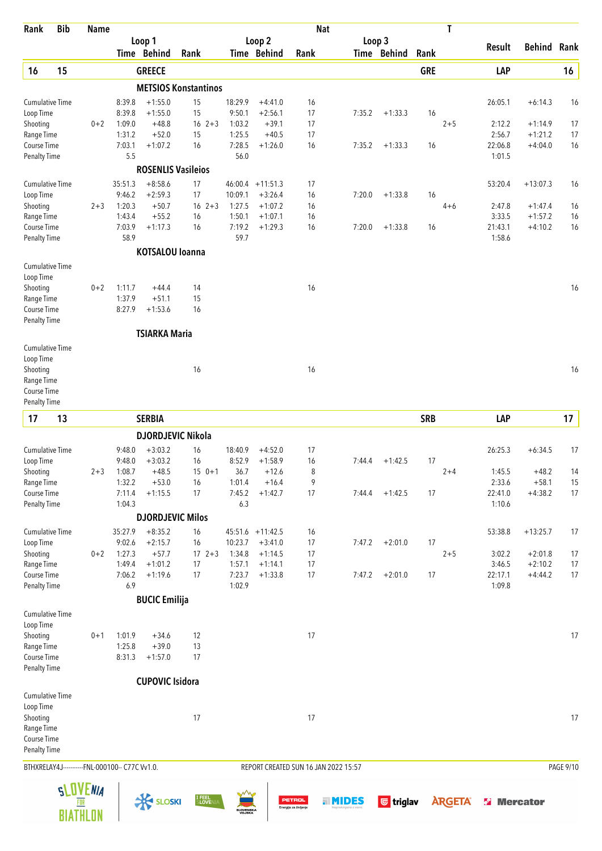| Rank                                | <b>Bib</b> | <b>Name</b>     |                                                |                           |                             |                            |                        |                                        | <b>Nat</b>                           |                  |            | T              |                    |                        |           |
|-------------------------------------|------------|-----------------|------------------------------------------------|---------------------------|-----------------------------|----------------------------|------------------------|----------------------------------------|--------------------------------------|------------------|------------|----------------|--------------------|------------------------|-----------|
|                                     |            |                 |                                                | Loop 1<br>Time Behind     | Rank                        |                            | Loop 2<br>Time Behind  | Rank                                   | Loop 3                               | Time Behind      | Rank       |                | Result             | <b>Behind</b>          | Rank      |
| 16                                  | 15         |                 |                                                | <b>GREECE</b>             |                             |                            |                        |                                        |                                      |                  | <b>GRE</b> |                | LAP                |                        | 16        |
|                                     |            |                 |                                                |                           | <b>METSIOS Konstantinos</b> |                            |                        |                                        |                                      |                  |            |                |                    |                        |           |
| <b>Cumulative Time</b>              |            |                 | 8:39.8                                         | $+1:55.0$                 | 15                          | 18:29.9                    | $+4:41.0$              | 16                                     |                                      |                  |            |                | 26:05.1            | $+6:14.3$              | 16        |
| Loop Time                           |            |                 | 8:39.8                                         | $+1:55.0$                 | 15                          | 9:50.1                     | $+2:56.1$              | 17                                     | 7:35.2                               | $+1:33.3$        | 16         |                |                    |                        |           |
| Shooting<br>Range Time              |            | $0 + 2$         | 1:09.0<br>1:31.2                               | $+48.8$<br>$+52.0$        | $16 \t2+3$<br>15            | 1:03.2<br>1:25.5           | $+39.1$<br>$+40.5$     | 17<br>17                               |                                      |                  |            | $2 + 5$        | 2:12.2<br>2:56.7   | $+1:14.9$<br>$+1:21.2$ | 17<br>17  |
| Course Time                         |            |                 | 7:03.1                                         | $+1:07.2$                 | 16                          | 7:28.5                     | $+1:26.0$              | 16                                     | 7:35.2                               | $+1:33.3$        | 16         |                | 22:06.8            | $+4:04.0$              | 16        |
| <b>Penalty Time</b>                 |            |                 | 5.5                                            |                           |                             | 56.0                       |                        |                                        |                                      |                  |            |                | 1:01.5             |                        |           |
|                                     |            |                 |                                                | <b>ROSENLIS Vasileios</b> |                             |                            |                        |                                        |                                      |                  |            |                |                    |                        |           |
| <b>Cumulative Time</b>              |            |                 | 35:51.3                                        | $+8:58.6$                 | 17                          |                            | $46:00.4$ +11:51.3     | 17                                     |                                      |                  |            |                | 53:20.4            | $+13:07.3$             | 16        |
| Loop Time                           |            |                 | 9:46.2                                         | $+2:59.3$                 | 17                          | 10:09.1                    | $+3:26.4$              | 16                                     | 7:20.0                               | $+1:33.8$        | 16         |                |                    |                        |           |
| Shooting<br>Range Time              |            | $2 + 3$         | 1:20.3<br>1:43.4                               | $+50.7$<br>$+55.2$        | $16 \t2+3$<br>16            | 1:27.5<br>1:50.1           | $+1:07.2$<br>$+1:07.1$ | 16<br>16                               |                                      |                  |            | $4 + 6$        | 2:47.8<br>3:33.5   | $+1:47.4$<br>$+1:57.2$ | 16<br>16  |
| Course Time                         |            |                 | 7:03.9                                         | $+1:17.3$                 | 16                          | 7:19.2                     | $+1:29.3$              | 16                                     | 7:20.0                               | $+1:33.8$        | 16         |                | 21:43.1            | $+4:10.2$              | 16        |
| <b>Penalty Time</b>                 |            |                 | 58.9                                           |                           |                             | 59.7                       |                        |                                        |                                      |                  |            |                | 1:58.6             |                        |           |
|                                     |            |                 |                                                | <b>KOTSALOU loanna</b>    |                             |                            |                        |                                        |                                      |                  |            |                |                    |                        |           |
| <b>Cumulative Time</b>              |            |                 |                                                |                           |                             |                            |                        |                                        |                                      |                  |            |                |                    |                        |           |
| Loop Time<br>Shooting               |            | $0 + 2$         | 1:11.7                                         | $+44.4$                   | 14                          |                            |                        | 16                                     |                                      |                  |            |                |                    |                        | 16        |
| Range Time                          |            |                 | 1:37.9                                         | $+51.1$                   | 15                          |                            |                        |                                        |                                      |                  |            |                |                    |                        |           |
| Course Time                         |            |                 | 8:27.9                                         | $+1:53.6$                 | 16                          |                            |                        |                                        |                                      |                  |            |                |                    |                        |           |
| <b>Penalty Time</b>                 |            |                 |                                                |                           |                             |                            |                        |                                        |                                      |                  |            |                |                    |                        |           |
|                                     |            |                 |                                                | <b>TSIARKA Maria</b>      |                             |                            |                        |                                        |                                      |                  |            |                |                    |                        |           |
| <b>Cumulative Time</b><br>Loop Time |            |                 |                                                |                           |                             |                            |                        |                                        |                                      |                  |            |                |                    |                        |           |
| Shooting                            |            |                 |                                                |                           | 16                          |                            |                        | 16                                     |                                      |                  |            |                |                    |                        | 16        |
| Range Time                          |            |                 |                                                |                           |                             |                            |                        |                                        |                                      |                  |            |                |                    |                        |           |
| Course Time                         |            |                 |                                                |                           |                             |                            |                        |                                        |                                      |                  |            |                |                    |                        |           |
| <b>Penalty Time</b>                 |            |                 |                                                |                           |                             |                            |                        |                                        |                                      |                  |            |                |                    |                        |           |
| 17                                  | 13         |                 |                                                | <b>SERBIA</b>             |                             |                            |                        |                                        |                                      |                  | <b>SRB</b> |                | LAP                |                        | 17        |
|                                     |            |                 |                                                |                           | <b>DJORDJEVIC Nikola</b>    |                            |                        |                                        |                                      |                  |            |                |                    |                        |           |
| <b>Cumulative Time</b>              |            |                 | 9:48.0                                         | $+3:03.2$                 | 16                          | 18:40.9                    | $+4:52.0$              | 17                                     |                                      |                  |            |                | 26:25.3            | $+6:34.5$              | 17        |
| Loop Time                           |            |                 | 9:48.0                                         | $+3:03.2$<br>$+48.5$      | 16<br>$15 \t 0+1$           | 8:52.9                     | $+1:58.9$<br>$+12.6$   | 16<br>8                                | 7:44.4                               | $+1:42.5$        | 17         | $2 + 4$        |                    | $+48.2$                |           |
| Shooting<br>Range Time              |            | $2 + 3$         | 1:08.7<br>1:32.2                               | $+53.0$                   | 16                          | 36.7<br>1:01.4             | $+16.4$                | 9                                      |                                      |                  |            |                | 1:45.5<br>2:33.6   | $+58.1$                | 14<br>15  |
| Course Time                         |            |                 | 7:11.4                                         | $+1:15.5$                 | 17                          | 7:45.2                     | $+1:42.7$              | 17                                     | 7:44.4                               | $+1:42.5$        | 17         |                | 22:41.0            | $+4:38.2$              | 17        |
| <b>Penalty Time</b>                 |            |                 | 1:04.3                                         |                           |                             | 6.3                        |                        |                                        |                                      |                  |            |                | 1:10.6             |                        |           |
|                                     |            |                 |                                                | <b>DJORDJEVIC Milos</b>   |                             |                            |                        |                                        |                                      |                  |            |                |                    |                        |           |
| <b>Cumulative Time</b>              |            |                 | 35:27.9                                        | $+8:35.2$                 | 16                          |                            | $45:51.6$ +11:42.5     | 16                                     |                                      |                  |            |                | 53:38.8            | $+13:25.7$             | 17        |
| Loop Time                           |            |                 | 9:02.6                                         | $+2:15.7$                 | 16                          | 10:23.7                    | $+3:41.0$              | 17                                     | 7:47.2                               | $+2:01.0$        | 17         |                |                    |                        |           |
| Shooting                            |            | $0 + 2$         | 1:27.3                                         | $+57.7$                   | $17 \t2+3$                  | 1:34.8                     | $+1:14.5$              | 17                                     |                                      |                  |            | $2 + 5$        | 3:02.2             | $+2:01.8$              | 17        |
| Range Time<br>Course Time           |            |                 | 1:49.4<br>7:06.2                               | $+1:01.2$<br>$+1:19.6$    | 17<br>17                    | 1:57.1<br>7:23.7           | $+1:14.1$<br>$+1:33.8$ | 17<br>17                               | 7:47.2                               | $+2:01.0$        | 17         |                | 3:46.5<br>22:17.1  | $+2:10.2$<br>$+4:44.2$ | 17<br>17  |
| <b>Penalty Time</b>                 |            |                 | 6.9                                            |                           |                             | 1:02.9                     |                        |                                        |                                      |                  |            |                | 1:09.8             |                        |           |
|                                     |            |                 |                                                | <b>BUCIC Emilija</b>      |                             |                            |                        |                                        |                                      |                  |            |                |                    |                        |           |
| <b>Cumulative Time</b>              |            |                 |                                                |                           |                             |                            |                        |                                        |                                      |                  |            |                |                    |                        |           |
| Loop Time                           |            |                 |                                                |                           |                             |                            |                        |                                        |                                      |                  |            |                |                    |                        |           |
| Shooting<br>Range Time              |            | $0 + 1$         | 1:01.9<br>1:25.8                               | $+34.6$<br>$+39.0$        | 12<br>13                    |                            |                        | 17                                     |                                      |                  |            |                |                    |                        | 17        |
| Course Time                         |            |                 | 8:31.3                                         | $+1:57.0$                 | 17                          |                            |                        |                                        |                                      |                  |            |                |                    |                        |           |
| <b>Penalty Time</b>                 |            |                 |                                                |                           |                             |                            |                        |                                        |                                      |                  |            |                |                    |                        |           |
|                                     |            |                 |                                                | <b>CUPOVIC Isidora</b>    |                             |                            |                        |                                        |                                      |                  |            |                |                    |                        |           |
| Cumulative Time<br>Loop Time        |            |                 |                                                |                           |                             |                            |                        |                                        |                                      |                  |            |                |                    |                        |           |
| Shooting                            |            |                 |                                                |                           | 17                          |                            |                        | 17                                     |                                      |                  |            |                |                    |                        | 17        |
| Range Time                          |            |                 |                                                |                           |                             |                            |                        |                                        |                                      |                  |            |                |                    |                        |           |
| Course Time                         |            |                 |                                                |                           |                             |                            |                        |                                        |                                      |                  |            |                |                    |                        |           |
| Penalty Time                        |            |                 |                                                |                           |                             |                            |                        |                                        |                                      |                  |            |                |                    |                        |           |
|                                     |            |                 | BTHXRELAY4J-----------FNL-000100-- C77C Vv1.0. |                           |                             |                            |                        |                                        | REPORT CREATED SUN 16 JAN 2022 15:57 |                  |            |                |                    |                        | PAGE 9/10 |
|                                     |            | <b>SLOVENIA</b> |                                                |                           |                             |                            |                        |                                        |                                      |                  |            |                |                    |                        |           |
|                                     |            |                 |                                                | <b>EXP SLOSKI</b>         | I FEEL<br>SLOVENIA          | <b>SLOVENSKA</b><br>VOJSKA |                        | <b>PETROL</b><br>Energija za življenje | <b>HINDES</b>                        | <b>U</b> triglav |            | <b>ARGETA®</b> | <b>Si</b> Mercator |                        |           |
|                                     |            | <b>BIATHLON</b> |                                                |                           |                             |                            |                        |                                        |                                      |                  |            |                |                    |                        |           |